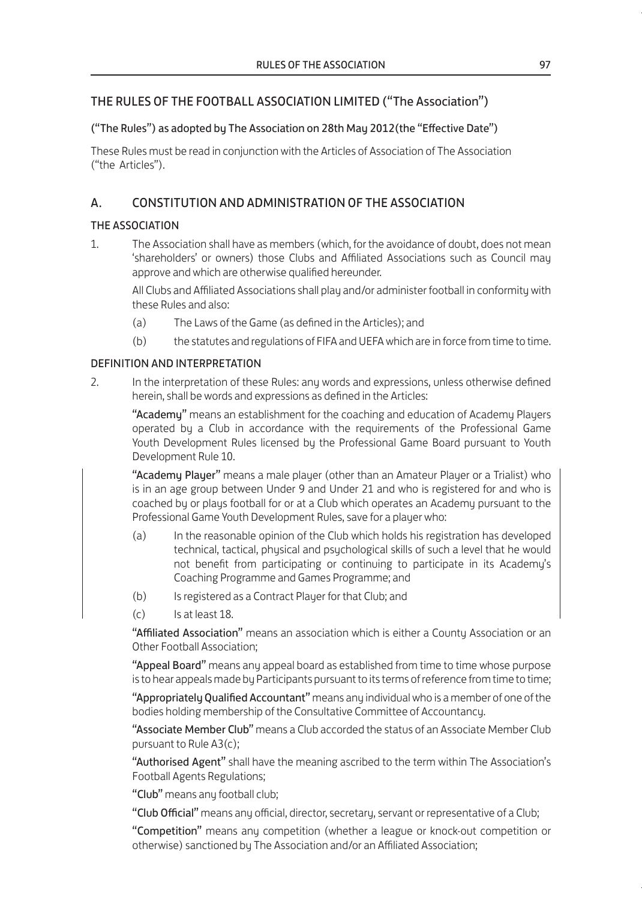# THE RULES OF THE FOOTBALL ASSOCIATION LIMITED ("The Association")

## ("The Rules") as adopted by The Association on 28th May 2012(the "Effective Date")

These Rules must be read in conjunction with the Articles of Association of The Association ("the Articles").

# A. CONSTITUTION AND ADMINISTRATION OF THE ASSOCIATION

## THE ASSOCIATION

1. The Association shall have as members (which, for the avoidance of doubt, does not mean 'shareholders' or owners) those Clubs and Affiliated Associations such as Council may approve and which are otherwise qualified hereunder.

All Clubs and Affiliated Associations shall play and/or administer football in conformity with these Rules and also:

- (a) The Laws of the Game (as defined in the Articles); and
- (b) the statutes and regulations of FIFA and UEFA which are in force from time to time.

## DEFINITION AND INTERPRETATION

2. In the interpretation of these Rules: any words and expressions, unless otherwise defined herein, shall be words and expressions as defined in the Articles:

"Academy" means an establishment for the coaching and education of Academy Players operated by a Club in accordance with the requirements of the Professional Game Youth Development Rules licensed by the Professional Game Board pursuant to Youth Development Rule 10.

"Academy Player" means a male player (other than an Amateur Player or a Trialist) who is in an age group between Under 9 and Under 21 and who is registered for and who is coached by or plays football for or at a Club which operates an Academy pursuant to the Professional Game Youth Development Rules, save for a player who:

- (a) In the reasonable opinion of the Club which holds his registration has developed technical, tactical, physical and psychological skills of such a level that he would not benefit from participating or continuing to participate in its Academy's Coaching Programme and Games Programme; and
- (b) Is registered as a Contract Player for that Club; and
- (c) Is at least 18.

"Affiliated Association" means an association which is either a County Association or an Other Football Association;

"Appeal Board" means any appeal board as established from time to time whose purpose is to hear appeals made by Participants pursuant to its terms of reference from time to time;

"Appropriately Qualified Accountant" means any individual who is a member of one of the bodies holding membership of the Consultative Committee of Accountancy.

"Associate Member Club" means a Club accorded the status of an Associate Member Club pursuant to Rule A3(c);

"Authorised Agent" shall have the meaning ascribed to the term within The Association's Football Agents Regulations;

"Club" means anu football club:

"Club Official" means any official, director, secretary, servant or representative of a Club;

"Competition" means any competition (whether a league or knock-out competition or otherwise) sanctioned by The Association and/or an Affiliated Association;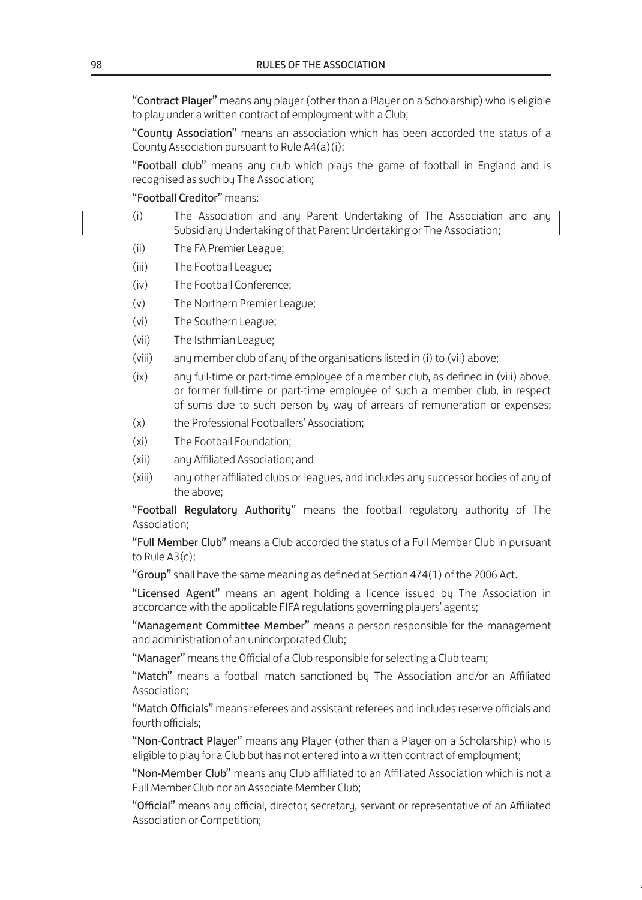"Contract Player" means any player (other than a Player on a Scholarship) who is eligible to play under a written contract of employment with a Club;

"Countu Association" means an association which has been accorded the status of a County Association pursuant to Rule A4(a)(i);

"Football club" means any club which plays the game of football in England and is recognised as such by The Association;

"Football Creditor" means:

- (i) The Association and any Parent Undertaking of The Association and any Subsidiary Undertaking of that Parent Undertaking or The Association;
- (ii) The FA Premier League;
- (iii) The Football League;
- (iv) The Football Conference;
- (v) The Northern Premier League;
- (vi) The Southern League;
- (vii) The Isthmian League;
- (viii) any member club of any of the organisations listed in (i) to (vii) above;
- $(ix)$  any full-time or part-time employee of a member club, as defined in (viii) above, or former full-time or part-time employee of such a member club, in respect of sums due to such person by way of arrears of remuneration or expenses;
- (x) the Professional Footballers' Association;
- (xi) The Football Foundation;
- (xii) any Affiliated Association; and
- (xiii) any other affiliated clubs or leagues, and includes any successor bodies of any of the above;

"Football Regulatory Authority" means the football regulatory authority of The Association;

"Full Member Club" means a Club accorded the status of a Full Member Club in pursuant to Rule A3(c);

"Group" shall have the same meaning as defined at Section  $474(1)$  of the 2006 Act.

"Licensed Agent" means an agent holding a licence issued by The Association in accordance with the applicable FIFA regulations governing players' agents;

"Management Committee Member" means a person responsible for the management and administration of an unincorporated Club;

"Manager" means the Official of a Club responsible for selecting a Club team;

"Match" means a football match sanctioned by The Association and/or an Affiliated Association;

"Match Officials" means referees and assistant referees and includes reserve officials and fourth officials;

"Non-Contract Player" means any Player (other than a Player on a Scholarship) who is eligible to play for a Club but has not entered into a written contract of employment;

"Non-Member Club" means any Club affiliated to an Affiliated Association which is not a Full Member Club nor an Associate Member Club;

"Official" means any official, director, secretary, servant or representative of an Affiliated Association or Competition;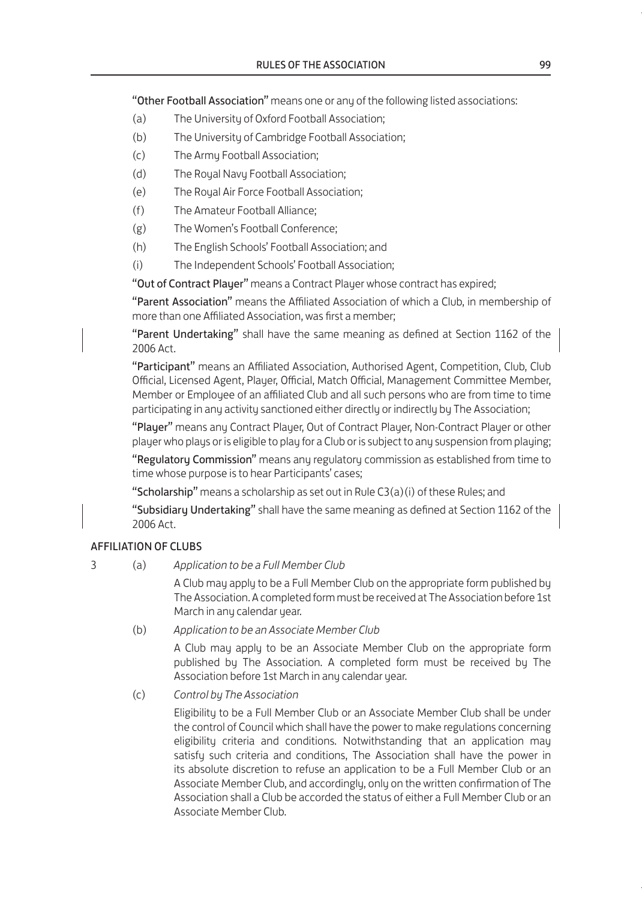"Other Football Association" means one or any of the following listed associations:

- (a) The University of Oxford Football Association;
- (b) The University of Cambridge Football Association;
- (c) The Army Football Association;
- (d) The Roual Navu Football Association:
- (e) The Royal Air Force Football Association;
- (f) The Amateur Football Alliance;
- (g) The Women's Football Conference;
- (h) The English Schools' Football Association; and
- (i) The Independent Schools' Football Association;

"Out of Contract Player" means a Contract Player whose contract has expired;

"Parent Association" means the Affiliated Association of which a Club, in membership of more than one Affiliated Association, was first a member;

"Parent Undertaking" shall have the same meaning as defined at Section 1162 of the 2006 Act.

"Participant" means an Affiliated Association, Authorised Agent, Competition, Club, Club Official, Licensed Agent, Player, Official, Match Official, Management Committee Member, Member or Employee of an affiliated Club and all such persons who are from time to time participating in any activity sanctioned either directly or indirectly by The Association;

"Player" means any Contract Player, Out of Contract Player, Non-Contract Player or other player who plays or is eligible to play for a Club or is subject to any suspension from playing;

"Regulatory Commission" means any regulatory commission as established from time to time whose purpose is to hear Participants' cases;

"Scholarship" means a scholarship as set out in Rule  $C_3(a)(i)$  of these Rules; and

"Subsidiary Undertaking" shall have the same meaning as defined at Section 1162 of the 2006 Act.

## AFFILIATION OF CLUBS

3 (a) *Application to be a Full Member Club*

A Club may apply to be a Full Member Club on the appropriate form published by The Association. A completed form must be received at The Association before 1st March in any calendar year.

(b) *Application to be an Associate Member Club*

A Club may apply to be an Associate Member Club on the appropriate form published by The Association. A completed form must be received by The Association before 1st March in any calendar year.

(c) *Control by The Association*

Eligibility to be a Full Member Club or an Associate Member Club shall be under the control of Council which shall have the power to make regulations concerning eligibility criteria and conditions. Notwithstanding that an application may satisfy such criteria and conditions, The Association shall have the power in its absolute discretion to refuse an application to be a Full Member Club or an Associate Member Club, and accordingly, only on the written confirmation of The Association shall a Club be accorded the status of either a Full Member Club or an Associate Member Club.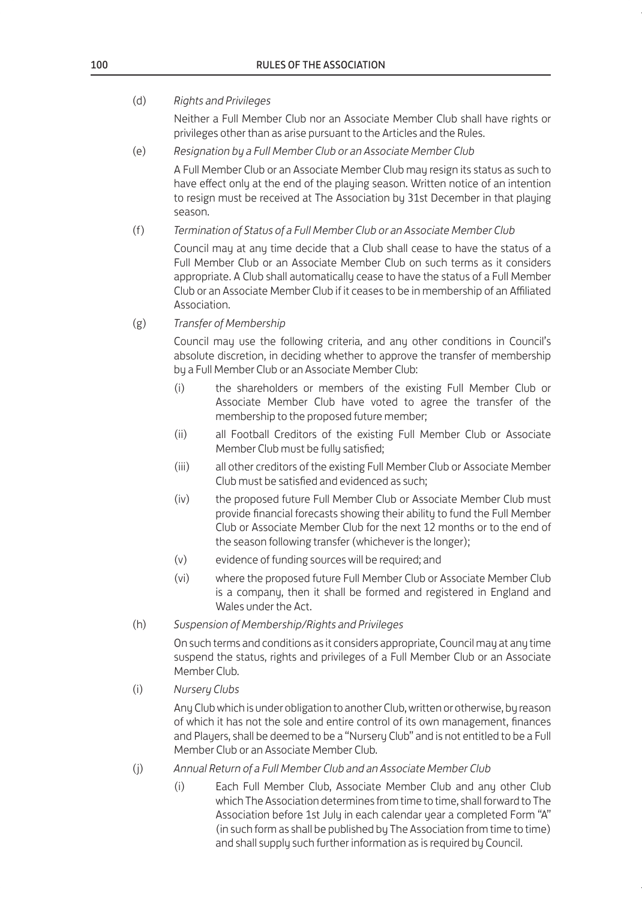## (d) *Rights and Privileges*

Neither a Full Member Club nor an Associate Member Club shall have rights or privileges other than as arise pursuant to the Articles and the Rules.

## (e) *Resignation by a Full Member Club or an Associate Member Club*

A Full Member Club or an Associate Member Club may resign its status as such to have effect only at the end of the playing season. Written notice of an intention to resign must be received at The Association by 31st December in that playing season.

## (f) *Termination of Status of a Full Member Club or an Associate Member Club*

Council may at any time decide that a Club shall cease to have the status of a Full Member Club or an Associate Member Club on such terms as it considers appropriate. A Club shall automatically cease to have the status of a Full Member Club or an Associate Member Club if it ceases to be in membership of an Affiliated Association.

### (g) *Transfer of Membership*

Council may use the following criteria, and any other conditions in Council's absolute discretion, in deciding whether to approve the transfer of membership by a Full Member Club or an Associate Member Club:

- (i) the shareholders or members of the existing Full Member Club or Associate Member Club have voted to agree the transfer of the membership to the proposed future member;
- (ii) all Football Creditors of the existing Full Member Club or Associate Member Club must be fully satisfied;
- (iii) all other creditors of the existing Full Member Club or Associate Member Club must be satisfied and evidenced as such:
- (iv) the proposed future Full Member Club or Associate Member Club must provide financial forecasts showing their ability to fund the Full Member Club or Associate Member Club for the next 12 months or to the end of the season following transfer (whichever is the longer);
- (v) evidence of funding sources will be required; and
- (vi) where the proposed future Full Member Club or Associate Member Club is a company, then it shall be formed and registered in England and Wales under the Act.
- (h) *Suspension of Membership/Rights and Privileges*

On such terms and conditions as it considers appropriate, Council may at any time suspend the status, rights and privileges of a Full Member Club or an Associate Member Club.

(i) *Nursery Clubs*

Any Club which is under obligation to another Club, written or otherwise, by reason of which it has not the sole and entire control of its own management, finances and Players, shall be deemed to be a "Nursery Club" and is not entitled to be a Full Member Club or an Associate Member Club.

- (j) *Annual Return of a Full Member Club and an Associate Member Club*
	- (i) Each Full Member Club, Associate Member Club and any other Club which The Association determines from time to time, shall forward to The Association before 1st July in each calendar year a completed Form "A" (in such form as shall be published by The Association from time to time) and shall supply such further information as is required by Council.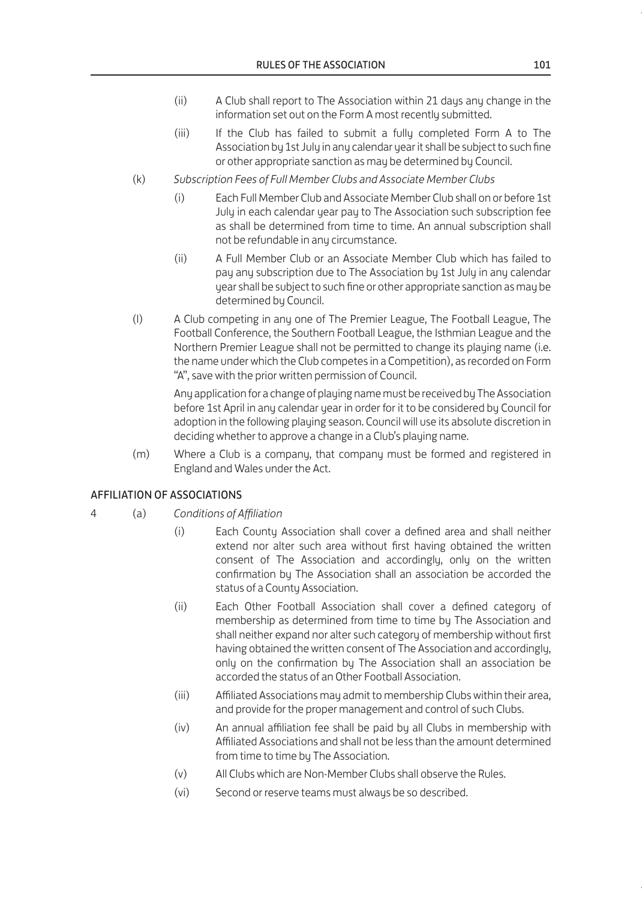- (ii) A Club shall report to The Association within 21 days any change in the information set out on the Form A most recently submitted.
- (iii) If the Club has failed to submit a fully completed Form A to The Association by 1st July in any calendar year it shall be subject to such fine or other appropriate sanction as may be determined by Council.
- (k) *Subscription Fees of Full Member Clubs and Associate Member Clubs*
	- (i) Each Full Member Club and Associate Member Club shall on or before 1st July in each calendar year pay to The Association such subscription fee as shall be determined from time to time. An annual subscription shall not be refundable in any circumstance.
	- (ii) A Full Member Club or an Associate Member Club which has failed to pay any subscription due to The Association by 1st July in any calendar year shall be subject to such fine or other appropriate sanction as may be determined by Council.
- (l) A Club competing in any one of The Premier League, The Football League, The Football Conference, the Southern Football League, the Isthmian League and the Northern Premier League shall not be permitted to change its playing name (i.e. the name under which the Club competes in a Competition), as recorded on Form "A", save with the prior written permission of Council.

Any application for a change of playing name must be received by The Association before 1st April in any calendar year in order for it to be considered by Council for adoption in the following playing season. Council will use its absolute discretion in deciding whether to approve a change in a Club's playing name.

(m) Where a Club is a company, that company must be formed and registered in England and Wales under the Act.

## AFFILIATION OF ASSOCIATIONS

- 4 (a) *Conditions of Affi liation*
	- (i) Each County Association shall cover a defined area and shall neither extend nor alter such area without first having obtained the written consent of The Association and accordingly, only on the written confirmation by The Association shall an association be accorded the status of a County Association.
	- (ii) Each Other Football Association shall cover a defined category of membership as determined from time to time by The Association and shall neither expand nor alter such category of membership without first having obtained the written consent of The Association and accordingly, only on the confirmation by The Association shall an association be accorded the status of an Other Football Association.
	- (iii) Affiliated Associations may admit to membership Clubs within their area, and provide for the proper management and control of such Clubs.
	- (iv) An annual affiliation fee shall be paid by all Clubs in membership with Affiliated Associations and shall not be less than the amount determined from time to time bu The Association.
	- (v) All Clubs which are Non-Member Clubs shall observe the Rules.
	- (vi) Second or reserve teams must always be so described.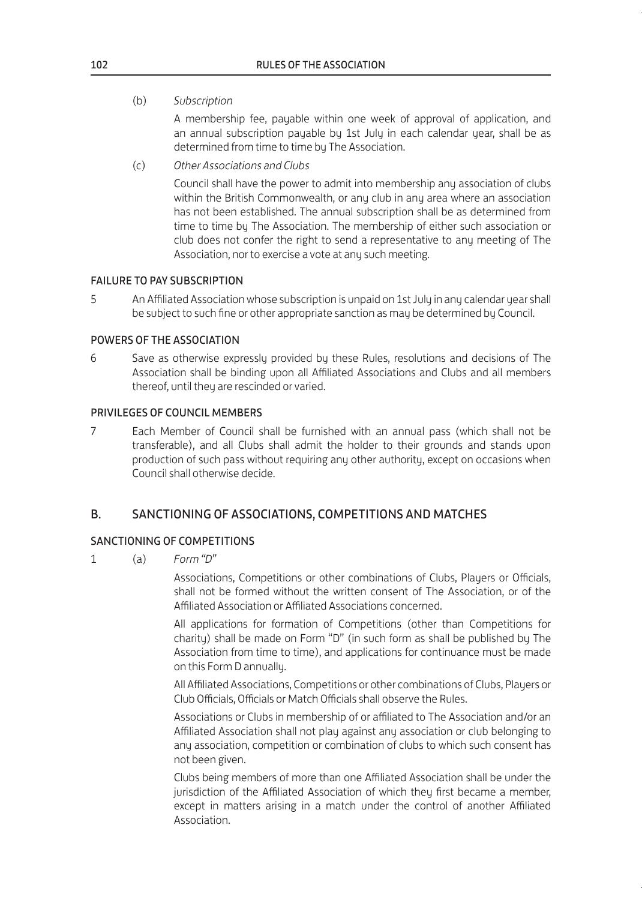## (b) *Subscription*

A membership fee, payable within one week of approval of application, and an annual subscription payable by 1st July in each calendar year, shall be as determined from time to time by The Association.

(c) *Other Associations and Clubs*

Council shall have the power to admit into membership any association of clubs within the British Commonwealth, or any club in any area where an association has not been established. The annual subscription shall be as determined from time to time by The Association. The membership of either such association or club does not confer the right to send a representative to any meeting of The Association, nor to exercise a vote at any such meeting.

### FAILURE TO PAY SUBSCRIPTION

5 An Affiliated Association whose subscription is unpaid on 1st July in any calendar year shall be subject to such fine or other appropriate sanction as may be determined by Council.

### POWERS OF THE ASSOCIATION

6 Save as otherwise expressly provided by these Rules, resolutions and decisions of The Association shall be binding upon all Affiliated Associations and Clubs and all members thereof, until they are rescinded or varied.

### PRIVILEGES OF COUNCIL MEMBERS

7 Each Member of Council shall be furnished with an annual pass (which shall not be transferable), and all Clubs shall admit the holder to their grounds and stands upon production of such pass without requiring any other authority, except on occasions when Council shall otherwise decide.

## B. SANCTIONING OF ASSOCIATIONS, COMPETITIONS AND MATCHES

# SANCTIONING OF COMPETITIONS

1 (a) *Form "D"*

Associations, Competitions or other combinations of Clubs, Players or Officials, shall not be formed without the written consent of The Association, or of the Affiliated Association or Affiliated Associations concerned.

All applications for formation of Competitions (other than Competitions for charity) shall be made on Form "D" (in such form as shall be published by The Association from time to time), and applications for continuance must be made on this Form D annually.

All Affiliated Associations, Competitions or other combinations of Clubs, Players or Club Officials, Officials or Match Officials shall observe the Rules.

Associations or Clubs in membership of or affiliated to The Association and/or an Affiliated Association shall not play against any association or club belonging to any association, competition or combination of clubs to which such consent has not been given.

Clubs being members of more than one Affiliated Association shall be under the jurisdiction of the Affiliated Association of which they first became a member, except in matters arising in a match under the control of another Affiliated Association.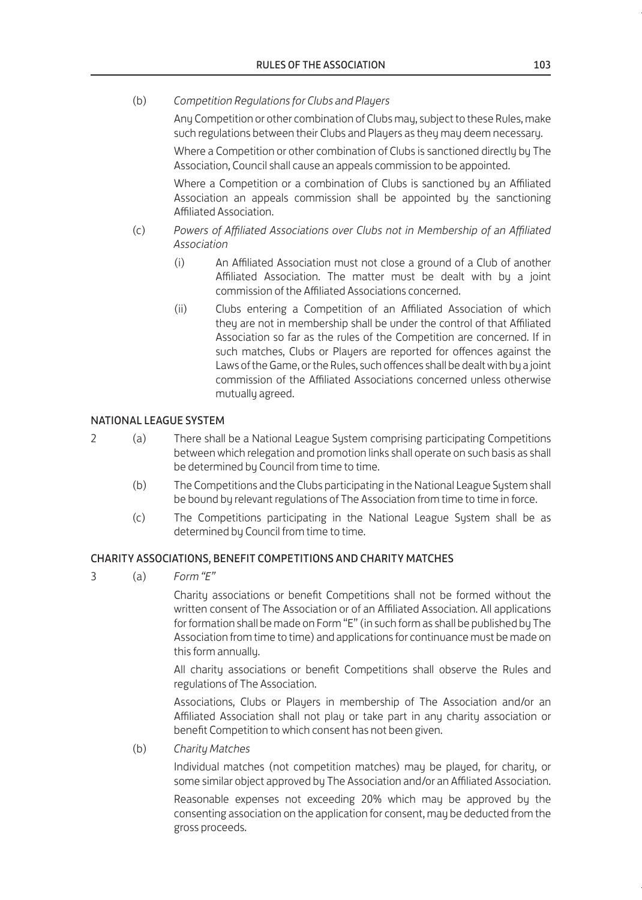(b) *Competition Regulations for Clubs and Players*

Any Competition or other combination of Clubs may, subject to these Rules, make such regulations between their Clubs and Players as they may deem necessary.

Where a Competition or other combination of Clubs is sanctioned directly by The Association, Council shall cause an appeals commission to be appointed.

Where a Competition or a combination of Clubs is sanctioned by an Affiliated Association an appeals commission shall be appointed by the sanctioning Affiliated Association.

- (c) *Powers of Affi liated Associations over Clubs not in Membership of an Affi liated Association*
	- (i) An Affiliated Association must not close a ground of a Club of another Affiliated Association. The matter must be dealt with bu a joint commission of the Affiliated Associations concerned.
	- (ii) Clubs entering a Competition of an Affiliated Association of which they are not in membership shall be under the control of that Affiliated Association so far as the rules of the Competition are concerned. If in such matches, Clubs or Players are reported for offences against the Laws of the Game, or the Rules, such offences shall be dealt with bu a joint commission of the Affiliated Associations concerned unless otherwise mutually agreed.

#### NATIONAL LEAGUE SYSTEM

- 2 (a) There shall be a National League System comprising participating Competitions between which relegation and promotion links shall operate on such basis as shall be determined by Council from time to time.
	- (b) The Competitions and the Clubs participating in the National League System shall be bound by relevant regulations of The Association from time to time in force.
	- (c) The Competitions participating in the National League System shall be as determined by Council from time to time.

#### CHARITY ASSOCIATIONS, BENEFIT COMPETITIONS AND CHARITY MATCHES

3 (a) *Form "E"*

Charity associations or benefit Competitions shall not be formed without the written consent of The Association or of an Affiliated Association. All applications for formation shall be made on Form "E" (in such form as shall be published by The Association from time to time) and applications for continuance must be made on this form annually.

All charity associations or benefit Competitions shall observe the Rules and regulations of The Association.

Associations, Clubs or Players in membership of The Association and/or an Affiliated Association shall not play or take part in any charity association or benefit Competition to which consent has not been given.

(b) *Charity Matches*

Individual matches (not competition matches) may be played, for charity, or some similar object approved by The Association and/or an Affiliated Association.

Reasonable expenses not exceeding 20% which may be approved by the consenting association on the application for consent, may be deducted from the gross proceeds.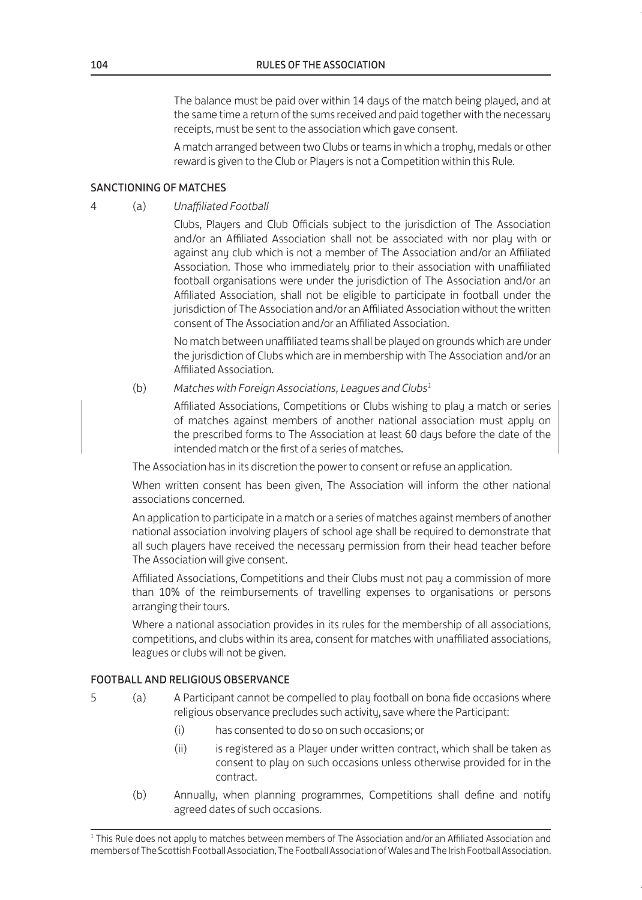The balance must be paid over within 14 days of the match being played, and at the same time a return of the sums received and paid together with the necessary receipts, must be sent to the association which gave consent.

A match arranged between two Clubs or teams in which a trophy, medals or other reward is given to the Club or Players is not a Competition within this Rule.

#### SANCTIONING OF MATCHES

4 (a) *Unaffi liated Football*

Clubs, Players and Club Officials subject to the jurisdiction of The Association and/or an Affiliated Association shall not be associated with nor play with or against any club which is not a member of The Association and/or an Affiliated Association. Those who immediately prior to their association with unaffiliated football organisations were under the jurisdiction of The Association and/or an Affiliated Association, shall not be eligible to participate in football under the jurisdiction of The Association and/or an Affiliated Association without the written consent of The Association and/or an Affi liated Association.

No match between unaffiliated teams shall be played on grounds which are under the jurisdiction of Clubs which are in membership with The Association and/or an Affiliated Association.

(b) *Matches with Foreign Associations, Leagues and Clubs1*

Affiliated Associations, Competitions or Clubs wishing to play a match or series of matches against members of another national association must apply on the prescribed forms to The Association at least 60 days before the date of the intended match or the first of a series of matches.

The Association has in its discretion the power to consent or refuse an application.

When written consent has been given, The Association will inform the other national associations concerned.

An application to participate in a match or a series of matches against members of another national association involving players of school age shall be required to demonstrate that all such players have received the necessary permission from their head teacher before The Association will give consent.

Affiliated Associations, Competitions and their Clubs must not pay a commission of more than 10% of the reimbursements of travelling expenses to organisations or persons arranging their tours.

Where a national association provides in its rules for the membership of all associations, competitions, and clubs within its area, consent for matches with unaffiliated associations, leagues or clubs will not be given.

### FOOTBALL AND RELIGIOUS OBSERVANCE

- 5 (a) A Participant cannot be compelled to play football on bona fide occasions where religious observance precludes such activity, save where the Participant:
	- (i) has consented to do so on such occasions; or
	- (ii) is registered as a Player under written contract, which shall be taken as consent to play on such occasions unless otherwise provided for in the contract.
	- (b) Annually, when planning programmes, Competitions shall define and notify agreed dates of such occasions.

<sup>1</sup> This Rule does not apply to matches between members of The Association and/or an Affiliated Association and members of The Scottish Football Association, The Football Association of Wales and The Irish Football Association.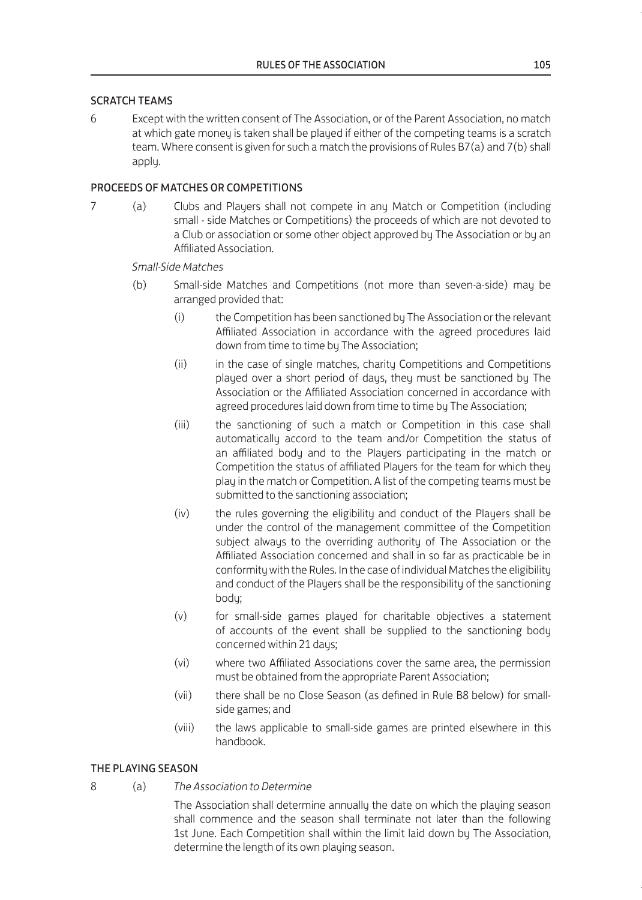## SCRATCH TEAMS

6 Except with the written consent of The Association, or of the Parent Association, no match at which gate moneu is taken shall be plaued if either of the competing teams is a scratch team. Where consent is given for such a match the provisions of Rules B7(a) and 7(b) shall apply.

### PROCEEDS OF MATCHES OR COMPETITIONS

7 (a) Clubs and Players shall not compete in any Match or Competition (including small - side Matches or Competitions) the proceeds of which are not devoted to a Club or association or some other object approved bu The Association or bu an Affiliated Association.

*Small-Side Matches*

- (b) Small-side Matches and Competitions (not more than seven-a-side) may be arranged provided that:
	- (i) the Competition has been sanctioned by The Association or the relevant Affiliated Association in accordance with the agreed procedures laid down from time to time by The Association;
	- (ii) in the case of single matches, charity Competitions and Competitions played over a short period of days, they must be sanctioned by The Association or the Affiliated Association concerned in accordance with agreed procedures laid down from time to time by The Association;
	- (iii) the sanctioning of such a match or Competition in this case shall automatically accord to the team and/or Competition the status of an affiliated bodu and to the Plauers participating in the match or Competition the status of affiliated Players for the team for which they play in the match or Competition. A list of the competing teams must be submitted to the sanctioning association;
	- (iv) the rules governing the eligibility and conduct of the Players shall be under the control of the management committee of the Competition subject always to the overriding authority of The Association or the Affiliated Association concerned and shall in so far as practicable be in conformity with the Rules. In the case of individual Matches the eligibility and conduct of the Players shall be the responsibility of the sanctioning body;
	- (v) for small-side games played for charitable objectives a statement of accounts of the event shall be supplied to the sanctioning body concerned within 21 days:
	- (vi) where two Affiliated Associations cover the same area, the permission must be obtained from the appropriate Parent Association;
	- (vii) there shall be no Close Season (as defined in Rule B8 below) for smallside games; and
	- (viii) the laws applicable to small-side games are printed elsewhere in this handbook.

### THE PLAYING SEASON

8 (a) *The Association to Determine*

The Association shall determine annually the date on which the playing season shall commence and the season shall terminate not later than the following 1st June. Each Competition shall within the limit laid down by The Association, determine the length of its own playing season.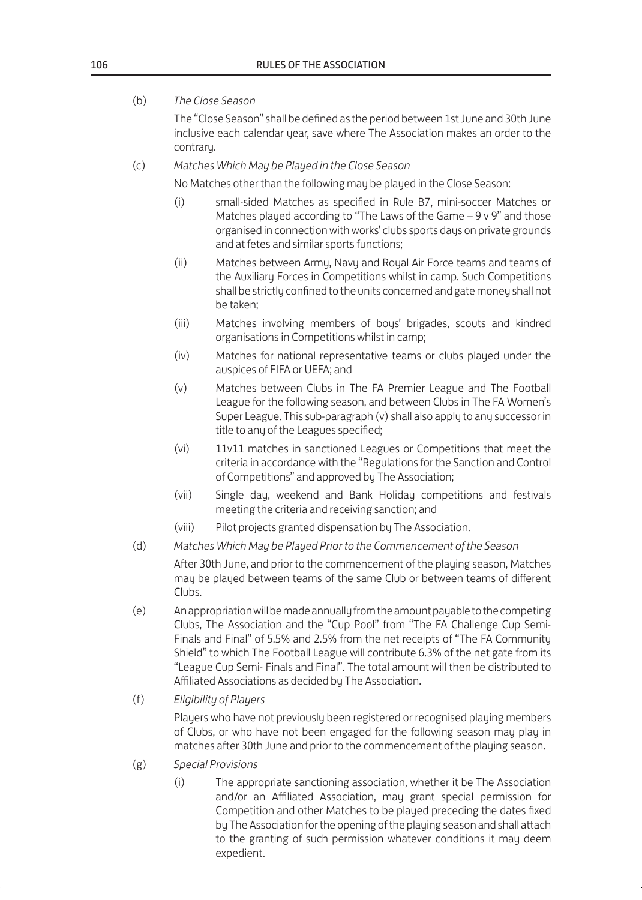## (b) *The Close Season*

The "Close Season" shall be defined as the period between 1st June and 30th June inclusive each calendar year, save where The Association makes an order to the contrary.

### (c) *Matches Which May be Played in the Close Season*

No Matches other than the following may be played in the Close Season:

- (i) small-sided Matches as specified in Rule B7, mini-soccer Matches or Matches played according to "The Laws of the Game – 9 v 9" and those organised in connection with works' clubs sports days on private grounds and at fetes and similar sports functions;
- (ii) Matches between Army, Navy and Royal Air Force teams and teams of the Auxiliary Forces in Competitions whilst in camp. Such Competitions shall be strictly confined to the units concerned and gate money shall not be taken;
- (iii) Matches involving members of boys' brigades, scouts and kindred organisations in Competitions whilst in camp;
- (iv) Matches for national representative teams or clubs played under the auspices of FIFA or UEFA; and
- (v) Matches between Clubs in The FA Premier League and The Football League for the following season, and between Clubs in The FA Women's Super League. This sub-paragraph (v) shall also apply to any successor in title to any of the Leagues specified;
- (vi) 11v11 matches in sanctioned Leagues or Competitions that meet the criteria in accordance with the "Regulations for the Sanction and Control of Competitions" and approved by The Association;
- (vii) Single day, weekend and Bank Holiday competitions and festivals meeting the criteria and receiving sanction; and
- (viii) Pilot projects granted dispensation by The Association.
- (d) *Matches Which May be Played Prior to the Commencement of the Season*

After 30th June, and prior to the commencement of the playing season, Matches may be played between teams of the same Club or between teams of different Clubs.

- (e) An appropriation will be made annually from the amount payable to the competing Clubs, The Association and the "Cup Pool" from "The FA Challenge Cup Semi-Finals and Final" of 5.5% and 2.5% from the net receipts of "The FA Community Shield" to which The Football League will contribute 6.3% of the net gate from its "League Cup Semi- Finals and Final". The total amount will then be distributed to Affiliated Associations as decided by The Association.
- (f) *Eligibility of Players*

Players who have not previously been registered or recognised playing members of Clubs, or who have not been engaged for the following season may play in matches after 30th June and prior to the commencement of the playing season.

- (g) *Special Provisions*
	- (i) The appropriate sanctioning association, whether it be The Association and/or an Affiliated Association, may grant special permission for Competition and other Matches to be played preceding the dates fixed by The Association for the opening of the playing season and shall attach to the granting of such permission whatever conditions it may deem expedient.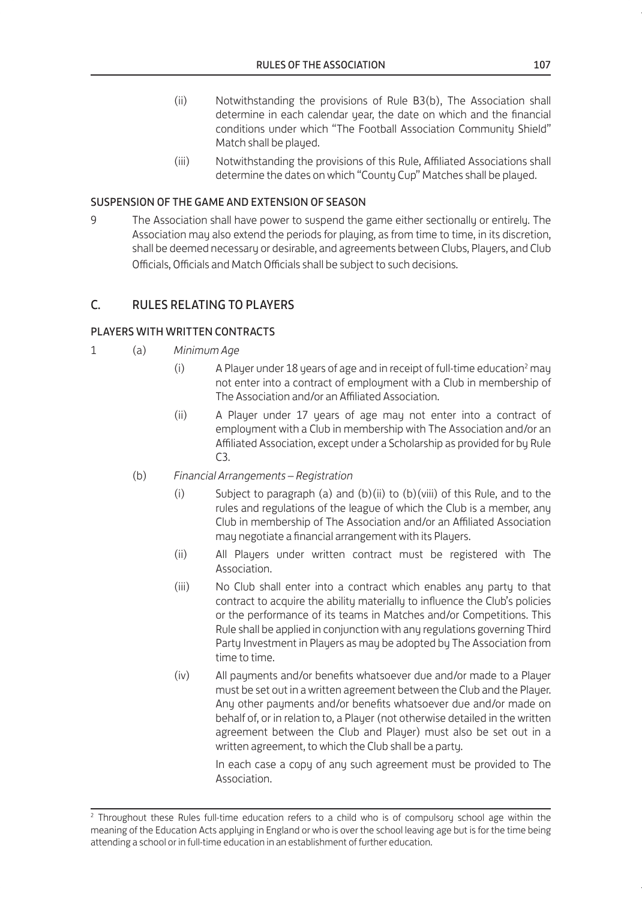- (ii) Notwithstanding the provisions of Rule B3(b), The Association shall determine in each calendar year, the date on which and the financial conditions under which "The Football Association Community Shield" Match shall be plaued.
- (iii) Notwithstanding the provisions of this Rule, Affiliated Associations shall determine the dates on which "County Cup" Matches shall be played.

### SUSPENSION OF THE GAME AND EXTENSION OF SEASON

9 The Association shall have power to suspend the game either sectionally or entirely. The Association may also extend the periods for playing, as from time to time, in its discretion, shall be deemed necessary or desirable, and agreements between Clubs, Players, and Club Officials, Officials and Match Officials shall be subject to such decisions.

## C. RULES RELATING TO PLAYERS

## PLAYERS WITH WRITTEN CONTRACTS

- 1 (a) *Minimum Age*
	- $(i)$  A Player under 18 years of age and in receipt of full-time education<sup>2</sup> may not enter into a contract of emploument with a Club in membership of The Association and/or an Affiliated Association.
	- (ii) A Player under 17 years of age may not enter into a contract of employment with a Club in membership with The Association and/or an Affiliated Association, except under a Scholarship as provided for by Rule C3.
	- (b) *Financial Arrangements Registration*
		- (i) Subject to paragraph (a) and (b)(ii) to (b)(viii) of this Rule, and to the rules and regulations of the league of which the Club is a member, any Club in membership of The Association and/or an Affiliated Association may negotiate a financial arrangement with its Players.
		- (ii) All Players under written contract must be registered with The Association.
		- (iii) No Club shall enter into a contract which enables any party to that contract to acquire the ability materially to influence the Club's policies or the performance of its teams in Matches and/or Competitions. This Rule shall be applied in conjunction with any regulations governing Third Party Investment in Players as may be adopted by The Association from time to time.
		- (iv) All payments and/or benefits whatsoever due and/or made to a Player must be set out in a written agreement between the Club and the Player. Any other payments and/or benefits whatsoever due and/or made on behalf of, or in relation to, a Player (not otherwise detailed in the written agreement between the Club and Player) must also be set out in a written agreement, to which the Club shall be a party.

In each case a copy of any such agreement must be provided to The Association.

<sup>&</sup>lt;sup>2</sup> Throughout these Rules full-time education refers to a child who is of compulsory school age within the meaning of the Education Acts applying in England or who is over the school leaving age but is for the time being attending a school or in full-time education in an establishment of further education.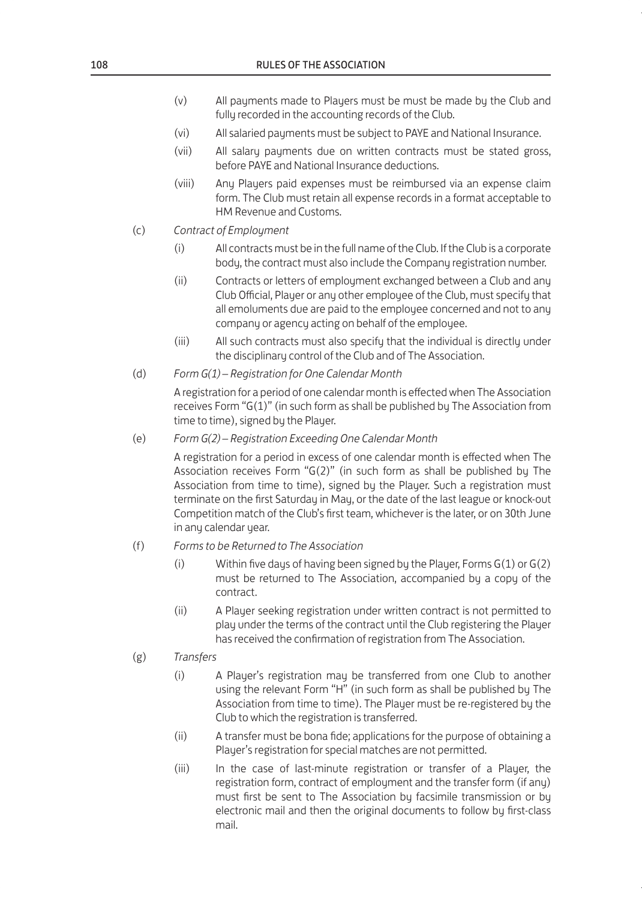- (v) All payments made to Players must be must be made by the Club and fully recorded in the accounting records of the Club.
- (vi) All salaried payments must be subject to PAYE and National Insurance.
- (vii) All salary payments due on written contracts must be stated gross, before PAYE and National Insurance deductions.
- (viii) Any Players paid expenses must be reimbursed via an expense claim form. The Club must retain all expense records in a format acceptable to HM Revenue and Customs.
- (c) *Contract of Employment*
	- (i) All contracts must be in the full name of the Club. If the Club is a corporate body, the contract must also include the Company registration number.
	- (ii) Contracts or letters of employment exchanged between a Club and any Club Official, Player or any other employee of the Club, must specify that all emoluments due are paid to the employee concerned and not to any company or agency acting on behalf of the employee.
	- (iii) All such contracts must also specify that the individual is directly under the disciplinary control of the Club and of The Association.
- (d) *Form G(1) Registration for One Calendar Month*

A registration for a period of one calendar month is effected when The Association receives Form "G(1)" (in such form as shall be published by The Association from time to time), signed by the Player.

(e) *Form G(2) – Registration Exceeding One Calendar Month*

A registration for a period in excess of one calendar month is effected when The Association receives Form "G(2)" (in such form as shall be published by The Association from time to time), signed by the Player. Such a registration must terminate on the first Saturday in May, or the date of the last league or knock-out Competition match of the Club's first team, whichever is the later, or on 30th June in any calendar year.

- (f) *Forms to be Returned to The Association*
	- (i) Within five days of having been signed by the Player, Forms  $G(1)$  or  $G(2)$ must be returned to The Association, accompanied by a copy of the contract.
	- (ii) A Player seeking registration under written contract is not permitted to play under the terms of the contract until the Club registering the Player has received the confirmation of registration from The Association.
- (g) *Transfers*
	- (i) A Player's registration may be transferred from one Club to another using the relevant Form "H" (in such form as shall be published by The Association from time to time). The Player must be re-registered by the Club to which the registration is transferred.
	- (ii) A transfer must be bona fide; applications for the purpose of obtaining a Player's registration for special matches are not permitted.
	- (iii) In the case of last-minute registration or transfer of a Player, the registration form, contract of employment and the transfer form (if any) must first be sent to The Association by facsimile transmission or by electronic mail and then the original documents to follow by first-class mail.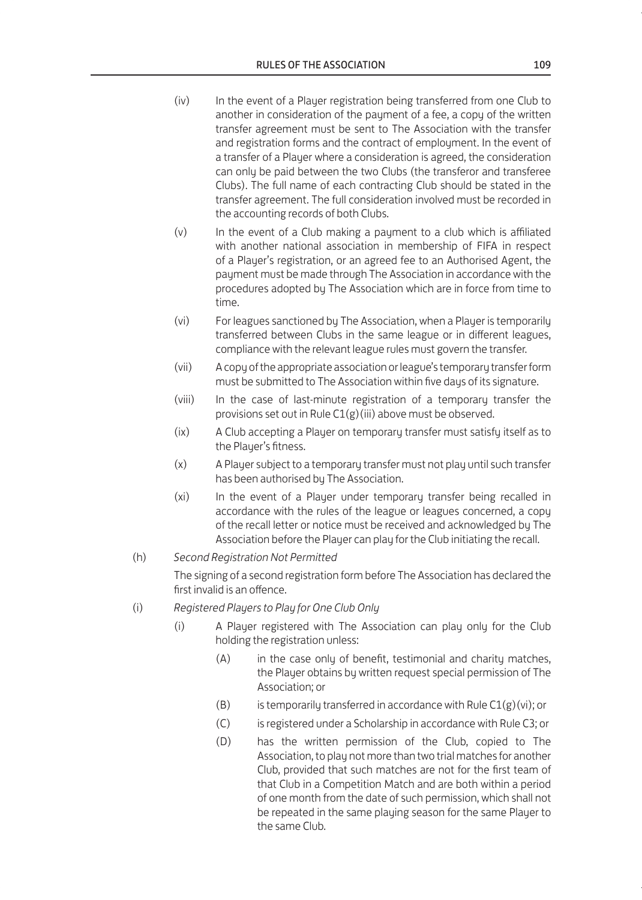- (iv) In the event of a Player registration being transferred from one Club to another in consideration of the payment of a fee, a copy of the written transfer agreement must be sent to The Association with the transfer and registration forms and the contract of employment. In the event of a transfer of a Player where a consideration is agreed, the consideration can only be paid between the two Clubs (the transferor and transferee Clubs). The full name of each contracting Club should be stated in the transfer agreement. The full consideration involved must be recorded in the accounting records of both Clubs.
- $(v)$  In the event of a Club making a payment to a club which is affiliated with another national association in membership of FIFA in respect of a Player's registration, or an agreed fee to an Authorised Agent, the payment must be made through The Association in accordance with the procedures adopted by The Association which are in force from time to time.
- (vi) For leagues sanctioned by The Association, when a Player is temporarily transferred between Clubs in the same league or in different leagues, compliance with the relevant league rules must govern the transfer.
- (vii) A copy of the appropriate association or league's temporary transfer form must be submitted to The Association within five days of its signature.
- (viii) In the case of last-minute registration of a temporary transfer the provisions set out in Rule C1(g)(iii) above must be observed.
- (ix) A Club accepting a Player on temporary transfer must satisfy itself as to the Plauer's fitness.
- (x) A Player subject to a temporary transfer must not play until such transfer has been authorised by The Association.
- (xi) In the event of a Player under temporary transfer being recalled in accordance with the rules of the league or leagues concerned, a copy of the recall letter or notice must be received and acknowledged by The Association before the Player can play for the Club initiating the recall.

### (h) *Second Registration Not Permitted*

The signing of a second registration form before The Association has declared the first invalid is an offence.

- (i) *Registered Players to Play for One Club Only*
	- (i) A Player registered with The Association can play only for the Club holding the registration unless:
		- (A) in the case only of benefit, testimonial and charity matches, the Player obtains by written request special permission of The Association; or
		- (B) is temporarily transferred in accordance with Rule  $C1(g)(vi)$ ; or
		- (C) is registered under a Scholarship in accordance with Rule C3; or
		- (D) has the written permission of the Club, copied to The Association, to play not more than two trial matches for another Club, provided that such matches are not for the first team of that Club in a Competition Match and are both within a period of one month from the date of such permission, which shall not be repeated in the same playing season for the same Player to the same Club.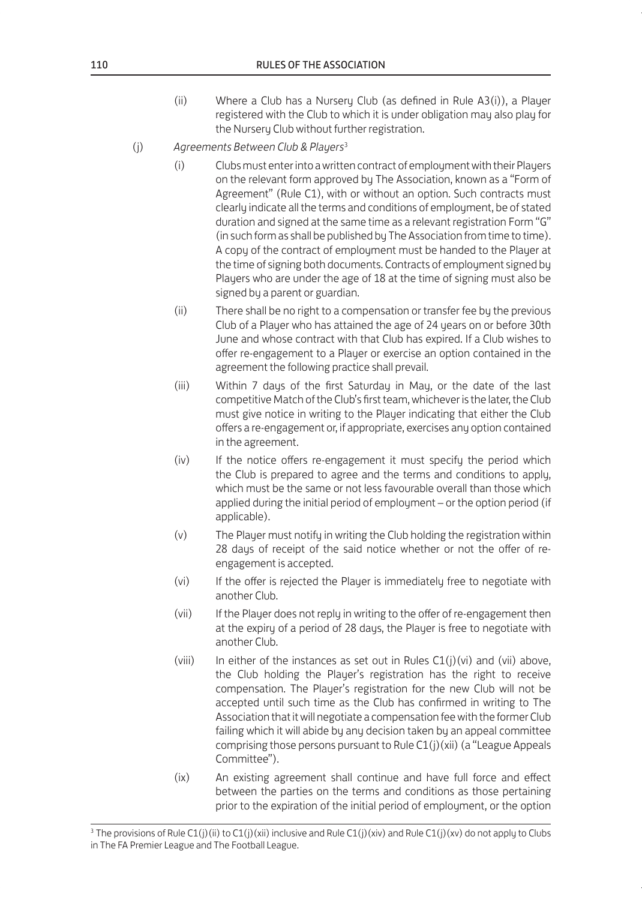- (ii) Where a Club has a Nursery Club (as defined in Rule  $(A3(i))$ , a Player registered with the Club to which it is under obligation may also play for the Nursery Club without further registration.
- (j) *Agreements Between Club & Players*<sup>3</sup>
	- (i) Clubs must enter into a written contract of employment with their Players on the relevant form approved by The Association, known as a "Form of Agreement" (Rule C1), with or without an option. Such contracts must clearly indicate all the terms and conditions of employment, be of stated duration and signed at the same time as a relevant registration Form "G" (in such form as shall be published by The Association from time to time). A copy of the contract of employment must be handed to the Player at the time of signing both documents. Contracts of employment signed by Players who are under the age of 18 at the time of signing must also be signed by a parent or guardian.
	- (ii) There shall be no right to a compensation or transfer fee by the previous Club of a Player who has attained the age of 24 years on or before 30th June and whose contract with that Club has expired. If a Club wishes to offer re-engagement to a Player or exercise an option contained in the agreement the following practice shall prevail.
	- (iii) Within 7 days of the first Saturday in May, or the date of the last competitive Match of the Club's first team, whichever is the later, the Club must give notice in writing to the Player indicating that either the Club offers a re-engagement or, if appropriate, exercises any option contained in the agreement.
	- $(iv)$  If the notice offers re-engagement it must specify the period which the Club is prepared to agree and the terms and conditions to apply, which must be the same or not less favourable overall than those which applied during the initial period of employment – or the option period (if applicable).
	- (v) The Player must notify in writing the Club holding the registration within 28 days of receipt of the said notice whether or not the offer of reengagement is accepted.
	- (vi) If the offer is rejected the Player is immediately free to negotiate with another Club.
	- (vii) If the Player does not reply in writing to the offer of re-engagement then at the expiry of a period of 28 days, the Player is free to negotiate with another Club.
	- (viii) In either of the instances as set out in Rules  $C_1(j)(vi)$  and (vii) above, the Club holding the Player's registration has the right to receive compensation. The Player's registration for the new Club will not be accepted until such time as the Club has confirmed in writing to The Association that it will negotiate a compensation fee with the former Club failing which it will abide by any decision taken by an appeal committee comprising those persons pursuant to Rule C1(j)(xii) (a "League Appeals Committee").
	- $(ix)$  An existing agreement shall continue and have full force and effect between the parties on the terms and conditions as those pertaining prior to the expiration of the initial period of employment, or the option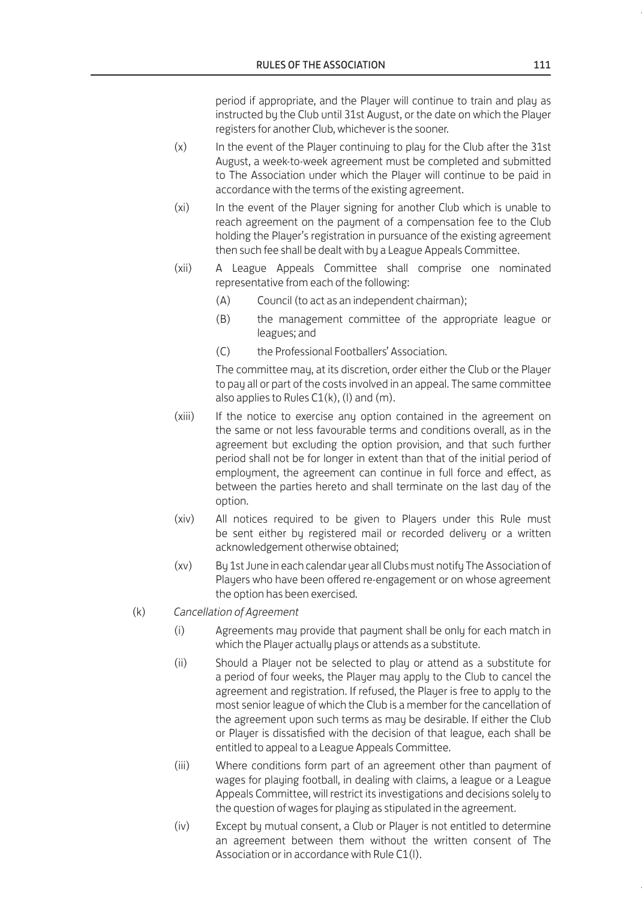period if appropriate, and the Player will continue to train and play as instructed by the Club until 31st August, or the date on which the Player registers for another Club, whichever is the sooner.

- (x) In the event of the Player continuing to play for the Club after the 31st August, a week-to-week agreement must be completed and submitted to The Association under which the Player will continue to be paid in accordance with the terms of the existing agreement.
- (xi) In the event of the Player signing for another Club which is unable to reach agreement on the payment of a compensation fee to the Club holding the Player's registration in pursuance of the existing agreement then such fee shall be dealt with by a League Appeals Committee.
- (xii) A League Appeals Committee shall comprise one nominated representative from each of the following:
	- (A) Council (to act as an independent chairman);
	- (B) the management committee of the appropriate league or leagues; and
	- (C) the Professional Footballers' Association.

The committee may, at its discretion, order either the Club or the Player to pay all or part of the costs involved in an appeal. The same committee also applies to Rules  $C1(k)$ , (I) and (m).

- (xiii) If the notice to exercise any option contained in the agreement on the same or not less favourable terms and conditions overall, as in the agreement but excluding the option provision, and that such further period shall not be for longer in extent than that of the initial period of employment, the agreement can continue in full force and effect, as between the parties hereto and shall terminate on the last day of the option.
- (xiv) All notices required to be given to Players under this Rule must be sent either by registered mail or recorded delivery or a written acknowledgement otherwise obtained;
- (xv) By 1st June in each calendar year all Clubs must notify The Association of Players who have been offered re-engagement or on whose agreement the option has been exercised.
- (k) *Cancellation of Agreement*
	- (i) Agreements may provide that payment shall be only for each match in which the Player actually plays or attends as a substitute.
	- (ii) Should a Player not be selected to play or attend as a substitute for a period of four weeks, the Player may apply to the Club to cancel the agreement and registration. If refused, the Player is free to apply to the most senior league of which the Club is a member for the cancellation of the agreement upon such terms as may be desirable. If either the Club or Player is dissatisfied with the decision of that league, each shall be entitled to appeal to a League Appeals Committee.
	- (iii) Where conditions form part of an agreement other than payment of wages for playing football, in dealing with claims, a league or a League Appeals Committee, will restrict its investigations and decisions solely to the question of wages for playing as stipulated in the agreement.
	- (iv) Except by mutual consent, a Club or Player is not entitled to determine an agreement between them without the written consent of The Association or in accordance with Rule C1(l).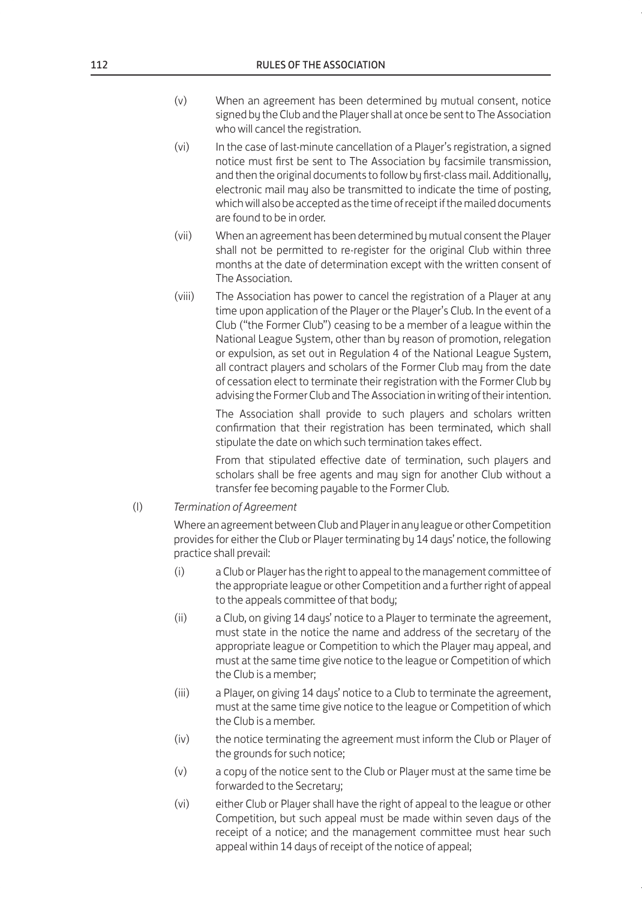- (v) When an agreement has been determined by mutual consent, notice signed by the Club and the Player shall at once be sent to The Association who will cancel the registration.
- (vi) In the case of last-minute cancellation of a Player's registration, a signed notice must first be sent to The Association by facsimile transmission, and then the original documents to follow by first-class mail. Additionally, electronic mail may also be transmitted to indicate the time of posting, which will also be accepted as the time of receipt if the mailed documents are found to be in order.
- (vii) When an agreement has been determined by mutual consent the Player shall not be permitted to re-register for the original Club within three months at the date of determination except with the written consent of The Association.
- (viii) The Association has power to cancel the registration of a Player at any time upon application of the Player or the Player's Club. In the event of a Club ("the Former Club") ceasing to be a member of a league within the National League System, other than by reason of promotion, relegation or expulsion, as set out in Regulation 4 of the National League System, all contract players and scholars of the Former Club may from the date of cessation elect to terminate their registration with the Former Club by advising the Former Club and The Association in writing of their intention.

The Association shall provide to such players and scholars written confirmation that their registration has been terminated, which shall stipulate the date on which such termination takes effect.

From that stipulated effective date of termination, such players and scholars shall be free agents and may sign for another Club without a transfer fee becoming payable to the Former Club.

(l) *Termination of Agreement*

Where an agreement between Club and Player in any league or other Competition provides for either the Club or Player terminating by 14 days' notice, the following practice shall prevail:

- (i) a Club or Player has the right to appeal to the management committee of the appropriate league or other Competition and a further right of appeal to the appeals committee of that body;
- (ii) a Club, on giving 14 days' notice to a Player to terminate the agreement, must state in the notice the name and address of the secretary of the appropriate league or Competition to which the Player may appeal, and must at the same time give notice to the league or Competition of which the Club is a member;
- (iii) a Player, on giving 14 days' notice to a Club to terminate the agreement, must at the same time give notice to the league or Competition of which the Club is a member.
- (iv) the notice terminating the agreement must inform the Club or Player of the grounds for such notice;
- (v) a copy of the notice sent to the Club or Player must at the same time be forwarded to the Secretary;
- (vi) either Club or Player shall have the right of appeal to the league or other Competition, but such appeal must be made within seven days of the receipt of a notice; and the management committee must hear such appeal within 14 days of receipt of the notice of appeal;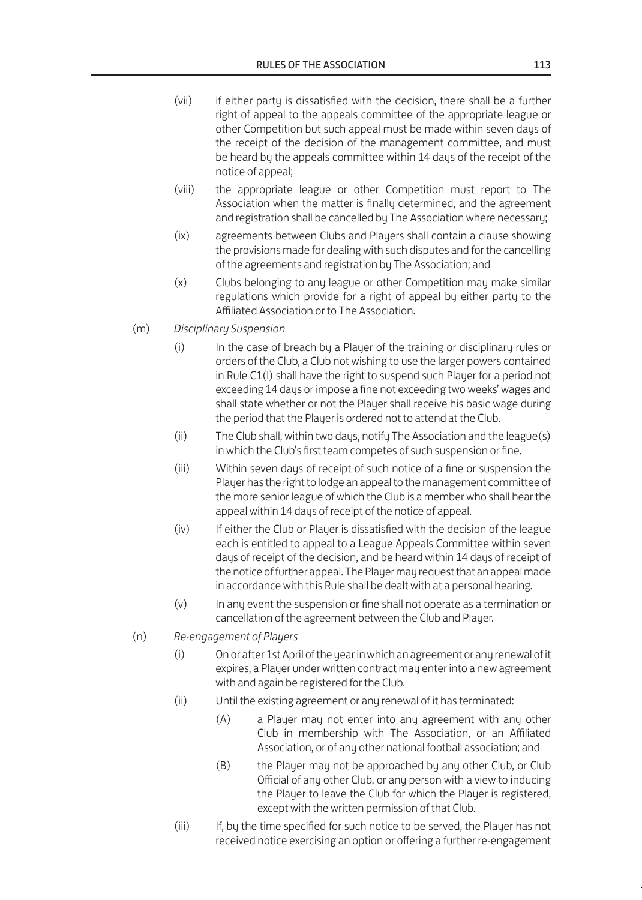- (vii) if either party is dissatisfied with the decision, there shall be a further right of appeal to the appeals committee of the appropriate league or other Competition but such appeal must be made within seven daus of the receipt of the decision of the management committee, and must be heard by the appeals committee within 14 days of the receipt of the notice of appeal;
- (viii) the appropriate league or other Competition must report to The Association when the matter is finally determined, and the agreement and registration shall be cancelled by The Association where necessary;
- (ix) agreements between Clubs and Players shall contain a clause showing the provisions made for dealing with such disputes and for the cancelling of the agreements and registration by The Association; and
- (x) Clubs belonging to any league or other Competition may make similar regulations which provide for a right of appeal by either party to the Affiliated Association or to The Association.
- (m) *Disciplinary Suspension*
	- (i) In the case of breach by a Player of the training or disciplinary rules or orders of the Club, a Club not wishing to use the larger powers contained in Rule C1(I) shall have the right to suspend such Plauer for a period not exceeding 14 days or impose a fine not exceeding two weeks' wages and shall state whether or not the Player shall receive his basic wage during the period that the Plauer is ordered not to attend at the Club.
	- (ii) The Club shall, within two days, notify The Association and the league(s) in which the Club's first team competes of such suspension or fine.
	- (iii) Within seven days of receipt of such notice of a fine or suspension the Player has the right to lodge an appeal to the management committee of the more senior league of which the Club is a member who shall hear the appeal within 14 days of receipt of the notice of appeal.
	- (iv) If either the Club or Player is dissatisfied with the decision of the league each is entitled to appeal to a League Appeals Committee within seven days of receipt of the decision, and be heard within 14 days of receipt of the notice of further appeal. The Player may request that an appeal made in accordance with this Rule shall be dealt with at a personal hearing.
	- $(v)$  In any event the suspension or fine shall not operate as a termination or cancellation of the agreement between the Club and Player.
- (n) *Re-engagement of Players*
	- (i) On or after 1st April of the year in which an agreement or any renewal of it expires, a Player under written contract may enter into a new agreement with and again be registered for the Club.
	- (ii) Until the existing agreement or any renewal of it has terminated:
		- (A) a Player may not enter into any agreement with any other Club in membership with The Association, or an Affiliated Association, or of any other national football association; and
		- (B) the Player may not be approached by any other Club, or Club Official of any other Club, or any person with a view to inducing the Player to leave the Club for which the Player is registered, except with the written permission of that Club.
	- (iii) If, by the time specified for such notice to be served, the Player has not received notice exercising an option or offering a further re-engagement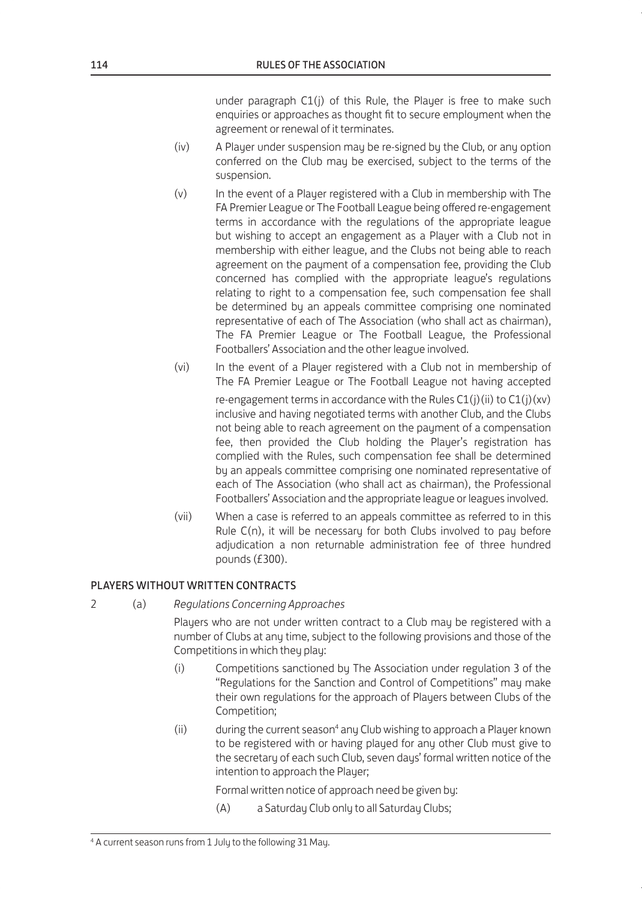under paragraph C1(j) of this Rule, the Plauer is free to make such enquiries or approaches as thought fit to secure employment when the agreement or renewal of it terminates.

- (iv) A Player under suspension may be re-signed by the Club, or any option conferred on the Club may be exercised, subject to the terms of the suspension.
- (v) In the event of a Plauer registered with a Club in membership with The FA Premier League or The Football League being offered re-engagement terms in accordance with the regulations of the appropriate league but wishing to accept an engagement as a Player with a Club not in membership with either league, and the Clubs not being able to reach agreement on the payment of a compensation fee, providing the Club concerned has complied with the appropriate league's regulations relating to right to a compensation fee, such compensation fee shall be determined by an appeals committee comprising one nominated representative of each of The Association (who shall act as chairman), The FA Premier League or The Football League, the Professional Footballers' Association and the other league involved.
- (vi) In the event of a Player registered with a Club not in membership of The FA Premier League or The Football League not having accepted re-engagement terms in accordance with the Rules  $C1(i)(ii)$  to  $C1(i)(xv)$ inclusive and having negotiated terms with another Club, and the Clubs not being able to reach agreement on the payment of a compensation fee, then provided the Club holding the Player's registration has complied with the Rules, such compensation fee shall be determined by an appeals committee comprising one nominated representative of each of The Association (who shall act as chairman), the Professional Footballers' Association and the appropriate league or leagues involved.
- (vii) When a case is referred to an appeals committee as referred to in this Rule C(n), it will be necessary for both Clubs involved to pay before adjudication a non returnable administration fee of three hundred pounds (£300).

### PLAYERS WITHOUT WRITTEN CONTRACTS

2 (a) *Regulations Concerning Approaches*

Players who are not under written contract to a Club may be registered with a number of Clubs at any time, subject to the following provisions and those of the Competitions in which they play:

- (i) Competitions sanctioned by The Association under regulation 3 of the "Regulations for the Sanction and Control of Competitions" may make their own regulations for the approach of Players between Clubs of the Competition;
- (ii) during the current season<sup>4</sup> any Club wishing to approach a Player known to be registered with or having played for any other Club must give to the secretary of each such Club, seven days' formal written notice of the intention to approach the Player;

Formal written notice of approach need be given by:

(A) a Saturday Club only to all Saturday Clubs;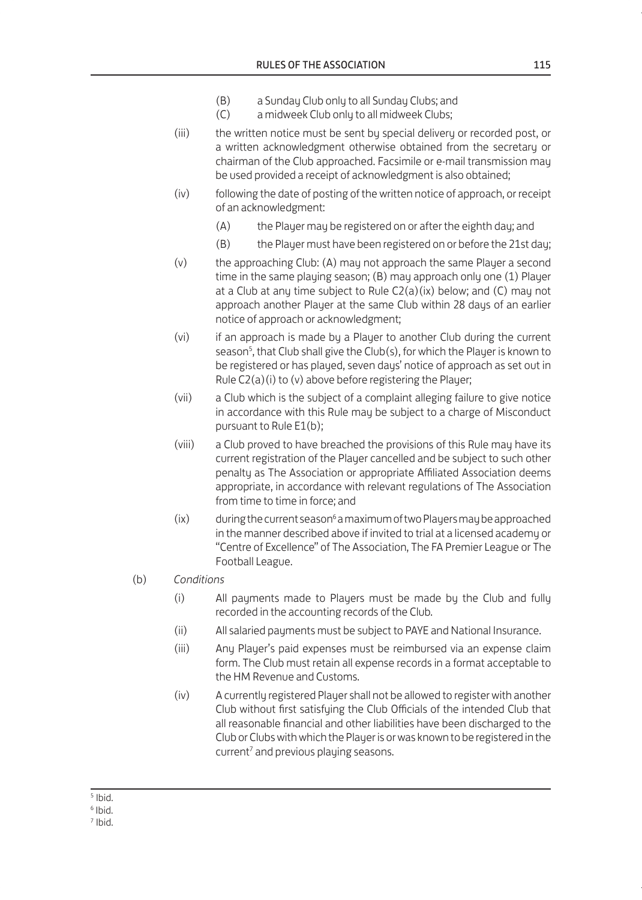- (B) a Sunday Club only to all Sunday Clubs; and
- (C) a midweek Club only to all midweek Clubs;
- (iii) the written notice must be sent by special delivery or recorded post, or a written acknowledgment otherwise obtained from the secretary or chairman of the Club approached. Facsimile or e-mail transmission may be used provided a receipt of acknowledgment is also obtained;
- (iv) following the date of posting of the written notice of approach, or receipt of an acknowledgment:
	- (A) the Player may be registered on or after the eighth day; and
	- (B) the Player must have been registered on or before the 21st day;
- (v) the approaching Club: (A) may not approach the same Player a second time in the same playing season; (B) may approach only one (1) Player at a Club at any time subject to Rule  $C2(a)(ix)$  below; and  $(C)$  may not approach another Player at the same Club within 28 days of an earlier notice of approach or acknowledgment;
- (vi) if an approach is made by a Player to another Club during the current season<sup>5</sup>, that Club shall give the Club(s), for which the Player is known to be registered or has played, seven days' notice of approach as set out in Rule C2(a)(i) to (v) above before registering the Player;
- (vii) a Club which is the subject of a complaint alleging failure to give notice in accordance with this Rule may be subject to a charge of Misconduct pursuant to Rule E1(b);
- (viii) a Club proved to have breached the provisions of this Rule may have its current registration of the Player cancelled and be subject to such other penalty as The Association or appropriate Affiliated Association deems appropriate, in accordance with relevant regulations of The Association from time to time in force; and
- (ix) during the current season<sup>6</sup> a maximum of two Players may be approached in the manner described above if invited to trial at a licensed academy or "Centre of Excellence" of The Association, The FA Premier League or The Football League.

### (b) *Conditions*

- (i) All payments made to Players must be made by the Club and fully recorded in the accounting records of the Club.
- (ii) All salaried payments must be subject to PAYE and National Insurance.
- (iii) Any Player's paid expenses must be reimbursed via an expense claim form. The Club must retain all expense records in a format acceptable to the HM Revenue and Customs.
- (iv) A currently registered Player shall not be allowed to register with another Club without first satisfying the Club Officials of the intended Club that all reasonable financial and other liabilities have been discharged to the Club or Clubs with which the Player is or was known to be registered in the current<sup>7</sup> and previous playing seasons.

### 5 Ibid.

#### 6 Ibid.

<sup>7</sup> Ibid.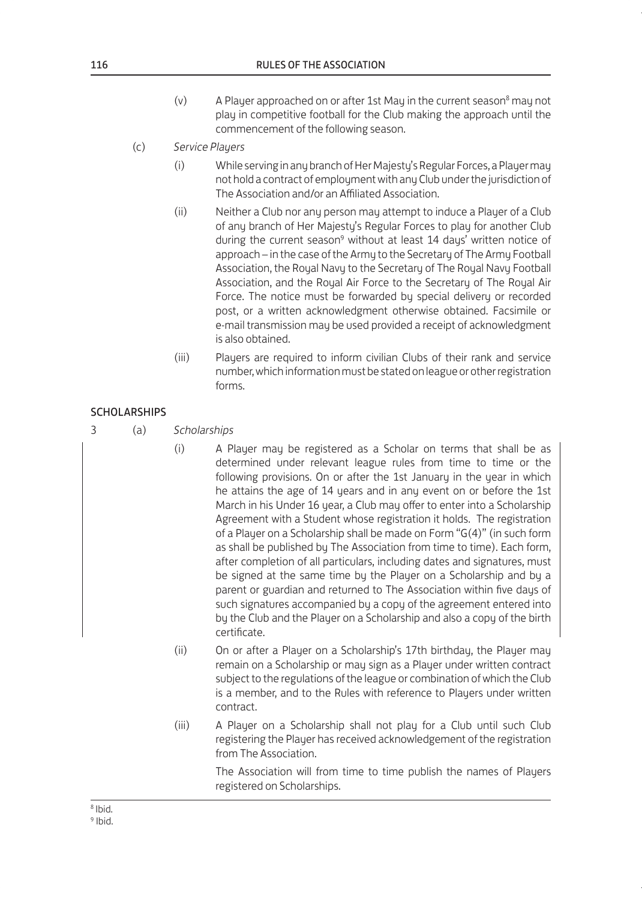- (v) A Player approached on or after 1st May in the current season<sup>8</sup> may not play in competitive football for the Club making the approach until the commencement of the following season.
- (c) *Service Players*
	- (i) While serving in any branch of Her Majesty's Regular Forces, a Player may not hold a contract of employment with any Club under the jurisdiction of The Association and/or an Affiliated Association.
	- (ii) Neither a Club nor any person may attempt to induce a Player of a Club of any branch of Her Majesty's Regular Forces to play for another Club during the current season<sup>9</sup> without at least 14 days' written notice of approach – in the case of the Army to the Secretary of The Army Football Association, the Royal Navy to the Secretary of The Royal Navy Football Association, and the Royal Air Force to the Secretary of The Royal Air Force. The notice must be forwarded by special delivery or recorded post, or a written acknowledgment otherwise obtained. Facsimile or e-mail transmission may be used provided a receipt of acknowledgment is also obtained.
	- (iii) Players are required to inform civilian Clubs of their rank and service number, which information must be stated on league or other registration forms.

### SCHOLARSHIPS

- 3 (a) *Scholarships*
	- (i) A Player may be registered as a Scholar on terms that shall be as determined under relevant league rules from time to time or the following provisions. On or after the 1st January in the year in which he attains the age of 14 years and in any event on or before the 1st March in his Under 16 year, a Club may offer to enter into a Scholarship Agreement with a Student whose registration it holds. The registration of a Player on a Scholarship shall be made on Form "G(4)" (in such form as shall be published by The Association from time to time). Each form, after completion of all particulars, including dates and signatures, must be signed at the same time by the Player on a Scholarship and by a parent or guardian and returned to The Association within five days of such signatures accompanied by a copy of the agreement entered into by the Club and the Player on a Scholarship and also a copy of the birth certificate.
	- (ii) On or after a Player on a Scholarship's 17th birthday, the Player may remain on a Scholarship or may sign as a Player under written contract subject to the regulations of the league or combination of which the Club is a member, and to the Rules with reference to Players under written contract.
	- (iii) A Player on a Scholarship shall not play for a Club until such Club registering the Player has received acknowledgement of the registration from The Association.

The Association will from time to time publish the names of Players registered on Scholarships.

<sup>8</sup> Ibid.

<sup>9</sup> Ibid.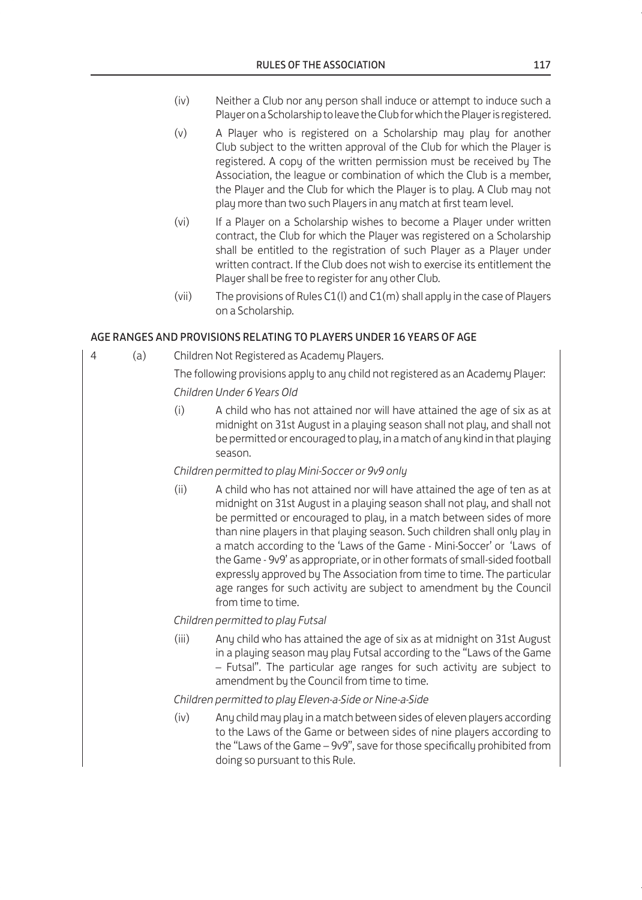- (iv) Neither a Club nor any person shall induce or attempt to induce such a Player on a Scholarship to leave the Club for which the Player is registered.
- (v) A Plauer who is registered on a Scholarship mau play for another Club subject to the written approval of the Club for which the Player is registered. A copy of the written permission must be received by The Association, the league or combination of which the Club is a member, the Player and the Club for which the Player is to play. A Club may not play more than two such Players in any match at first team level.
- (vi) If a Player on a Scholarship wishes to become a Player under written contract, the Club for which the Player was registered on a Scholarship shall be entitled to the registration of such Player as a Player under written contract. If the Club does not wish to exercise its entitlement the Player shall be free to register for any other Club.
- (vii) The provisions of Rules C1(l) and C1(m) shall apply in the case of Players on a Scholarship.

## AGE RANGES AND PROVISIONS RELATING TO PLAYERS UNDER 16 YEARS OF AGE

4 (a) Children Not Registered as Academy Players.

The following provisions apply to any child not registered as an Academy Player:

### *Children Under 6 Years Old*

(i) A child who has not attained nor will have attained the age of six as at midnight on 31st August in a playing season shall not play, and shall not be permitted or encouraged to play, in a match of any kind in that playing season.

#### *Children permitted to play Mini-Soccer or 9v9 only*

(ii) A child who has not attained nor will have attained the age of ten as at midnight on 31st August in a playing season shall not play, and shall not be permitted or encouraged to play, in a match between sides of more than nine players in that playing season. Such children shall only play in a match according to the 'Laws of the Game - Mini-Soccer' or 'Laws of the Game - 9v9' as appropriate, or in other formats of small-sided football expressly approved by The Association from time to time. The particular age ranges for such activity are subject to amendment by the Council from time to time.

#### *Children permitted to play Futsal*

(iii) Any child who has attained the age of six as at midnight on 31st August in a playing season may play Futsal according to the "Laws of the Game – Futsal". The particular age ranges for such activity are subject to amendment by the Council from time to time.

#### *Children permitted to play Eleven-a-Side or Nine-a-Side*

(iv) Any child may play in a match between sides of eleven players according to the Laws of the Game or between sides of nine players according to the "Laws of the Game - 9v9", save for those specifically prohibited from doing so pursuant to this Rule.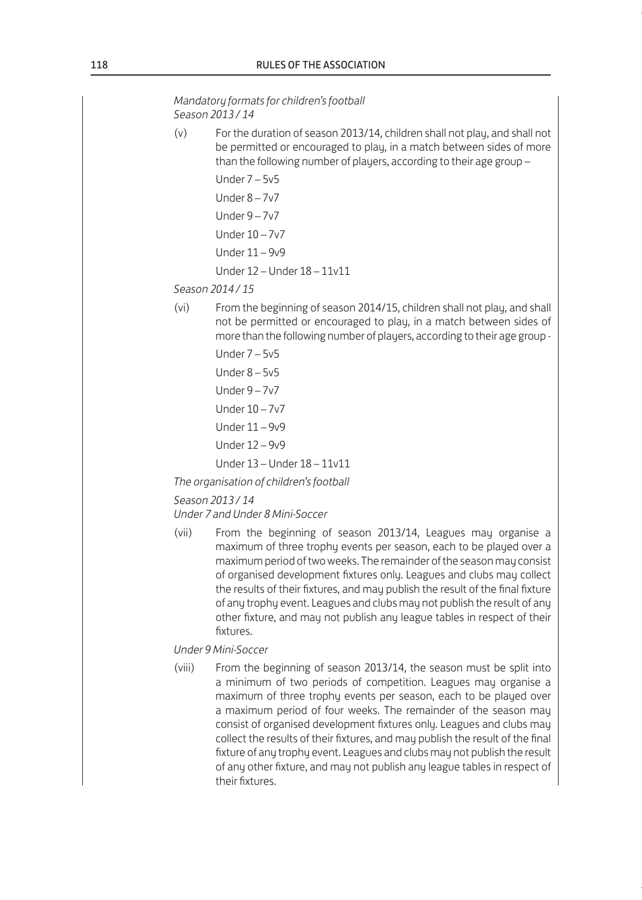### *Mandatory formats for children's football Season 2013 / 14*

(v) For the duration of season 2013/14, children shall not play, and shall not be permitted or encouraged to play, in a match between sides of more than the following number of players, according to their age group –

> Under 7 – 5v5 Under 8 – 7v7 Under 9 – 7v7 Under 10 – 7v7 Under 11 – 9v9

Under 12 – Under 18 – 11v11

*Season 2014 / 15*

(vi) From the beginning of season 2014/15, children shall not play, and shall not be permitted or encouraged to play, in a match between sides of more than the following number of players, according to their age group -

Under 7 – 5v5

 Under 8 – 5v5 Under 9 – 7v7

Under 10 – 7v7

Under 11 – 9v9

Under 12 – 9v9

Under 13 – Under 18 – 11v11

*The organisation of children's football* 

#### *Season 2013 / 14*

*Under 7 and Under 8 Mini-Soccer*

(vii) From the beginning of season 2013/14, Leagues may organise a maximum of three trophy events per season, each to be played over a maximum period of two weeks. The remainder of the season may consist of organised development fixtures only. Leagues and clubs may collect the results of their fixtures, and may publish the result of the final fixture of any trophy event. Leagues and clubs may not publish the result of any other fixture, and may not publish any league tables in respect of their fixtures.

### *Under 9 Mini-Soccer*

(viii) From the beginning of season 2013/14, the season must be split into a minimum of two periods of competition. Leagues may organise a maximum of three trophy events per season, each to be played over a maximum period of four weeks. The remainder of the season may consist of organised development fixtures only. Leagues and clubs may collect the results of their fixtures, and may publish the result of the final fixture of any trophy event. Leagues and clubs may not publish the result of any other fixture, and may not publish any league tables in respect of their fixtures.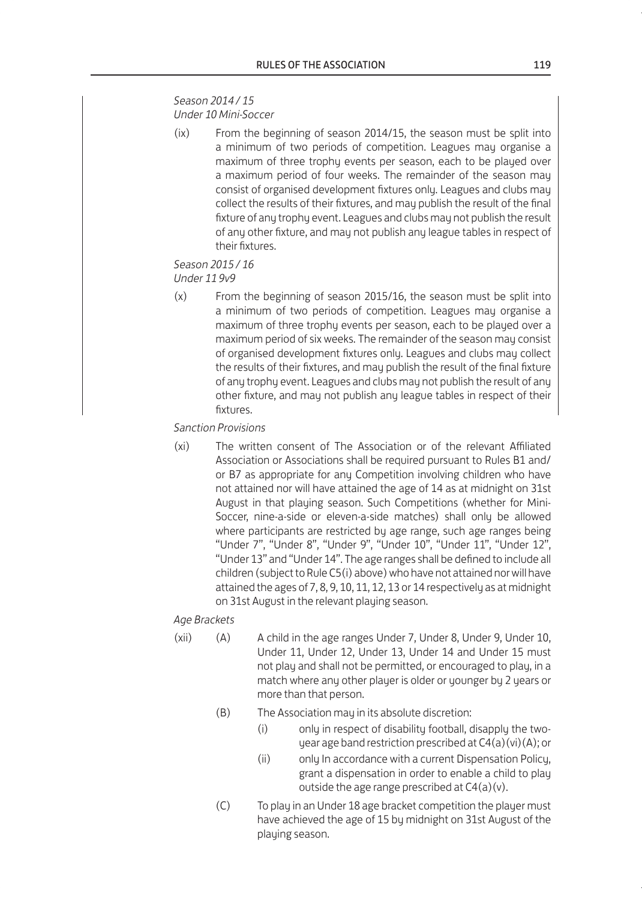# *Season 2014 / 15 Under 10 Mini-Soccer*

(ix) From the beginning of season 2014/15, the season must be split into a minimum of two periods of competition. Leagues may organise a maximum of three trophy events per season, each to be played over a maximum period of four weeks. The remainder of the season may consist of organised development fixtures only. Leagues and clubs may collect the results of their fixtures, and may publish the result of the final fixture of any trophy event. Leagues and clubs may not publish the result of any other fixture, and may not publish any league tables in respect of their fixtures.

*Season 2015 / 16*

*Under 11 9v9*

(x) From the beginning of season 2015/16, the season must be split into a minimum of two periods of competition. Leagues may organise a maximum of three trophy events per season, each to be played over a maximum period of six weeks. The remainder of the season may consist of organised development fixtures only. Leagues and clubs may collect the results of their fixtures, and may publish the result of the final fixture of any trophy event. Leagues and clubs may not publish the result of any other fixture, and may not publish any league tables in respect of their fixtures

*Sanction Provisions*

(xi) The written consent of The Association or of the relevant Affiliated Association or Associations shall be required pursuant to Rules B1 and/ or B7 as appropriate for any Competition involving children who have not attained nor will have attained the age of 14 as at midnight on 31st August in that playing season. Such Competitions (whether for Mini-Soccer, nine-a-side or eleven-a-side matches) shall only be allowed where participants are restricted by age range, such age ranges being "Under 7", "Under 8", "Under 9", "Under 10", "Under 11", "Under 12", "Under 13" and "Under 14". The age ranges shall be defined to include all children (subject to Rule C5(i) above) who have not attained nor will have attained the ages of 7, 8, 9, 10, 11, 12, 13 or 14 respectively as at midnight on 31st August in the relevant playing season.

### *Age Brackets*

- (xii) (A) A child in the age ranges Under 7, Under 8, Under 9, Under 10, Under 11, Under 12, Under 13, Under 14 and Under 15 must not play and shall not be permitted, or encouraged to play, in a match where any other player is older or younger by 2 years or more than that person.
	- (B) The Association may in its absolute discretion:
		- (i) only in respect of disability football, disapply the twoyear age band restriction prescribed at C4(a)(vi)(A); or
		- (ii) only In accordance with a current Dispensation Policy, grant a dispensation in order to enable a child to play outside the age range prescribed at C4(a)(v).
	- (C) To play in an Under 18 age bracket competition the player must have achieved the age of 15 by midnight on 31st August of the playing season.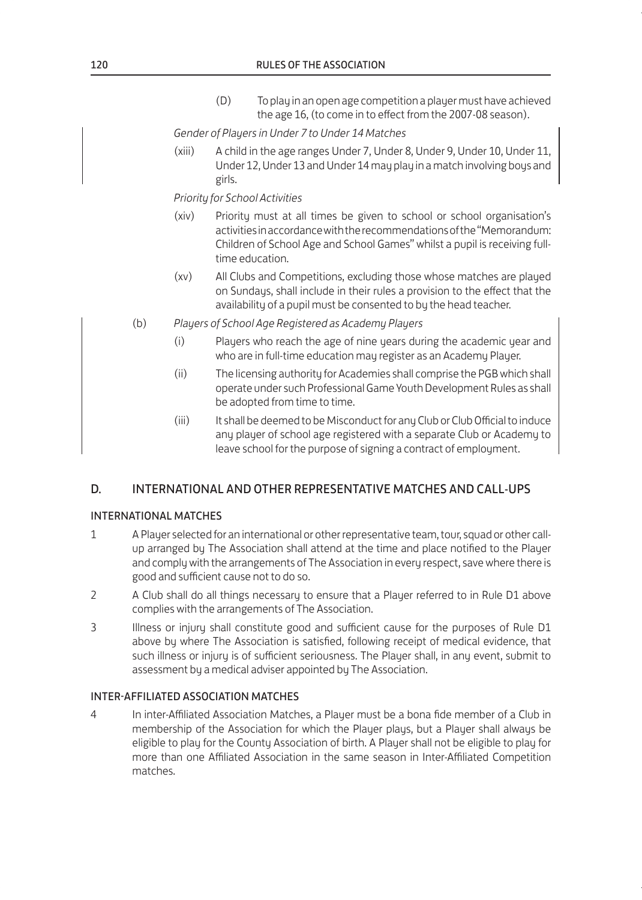(D) To play in an open age competition a player must have achieved the age 16, (to come in to effect from the 2007-08 season).

### *Gender of Players in Under 7 to Under 14 Matches*

(xiii) A child in the age ranges Under 7, Under 8, Under 9, Under 10, Under 11, Under 12, Under 13 and Under 14 may play in a match involving boys and girls.

## *Priority for School Activities*

- (xiv) Priority must at all times be given to school or school organisation's activities in accordance with the recommendations of the "Memorandum: Children of School Age and School Games" whilst a pupil is receiving fulltime education.
- (xv) All Clubs and Competitions, excluding those whose matches are played on Sundaus, shall include in their rules a provision to the effect that the availabilitu of a pupil must be consented to bu the head teacher.
- (b) *Players of School Age Registered as Academy Players*
	- (i) Players who reach the age of nine years during the academic year and who are in full-time education may register as an Academy Player.
	- (ii) The licensing authority for Academies shall comprise the PGB which shall operate under such Professional Game Youth Development Rules as shall be adopted from time to time.
	- (iii) It shall be deemed to be Misconduct for any Club or Club Official to induce any player of school age registered with a separate Club or Academy to leave school for the purpose of signing a contract of employment.

# D. INTERNATIONAL AND OTHER REPRESENTATIVE MATCHES AND CALL-UPS

## INTERNATIONAL MATCHES

- 1 A Player selected for an international or other representative team, tour, squad or other callup arranged by The Association shall attend at the time and place notified to the Player and comply with the arrangements of The Association in every respect, save where there is good and sufficient cause not to do so.
- 2 A Club shall do all things necessary to ensure that a Player referred to in Rule D1 above complies with the arrangements of The Association.
- 3 Illness or injury shall constitute good and sufficient cause for the purposes of Rule D1 above by where The Association is satisfied, following receipt of medical evidence, that such illness or injury is of sufficient seriousness. The Player shall, in any event, submit to assessment by a medical adviser appointed by The Association.

## INTER-AFFILIATED ASSOCIATION MATCHES

4 In inter-Affiliated Association Matches, a Player must be a bona fide member of a Club in membership of the Association for which the Player plays, but a Player shall always be eligible to play for the County Association of birth. A Player shall not be eligible to play for more than one Affiliated Association in the same season in Inter-Affiliated Competition matches.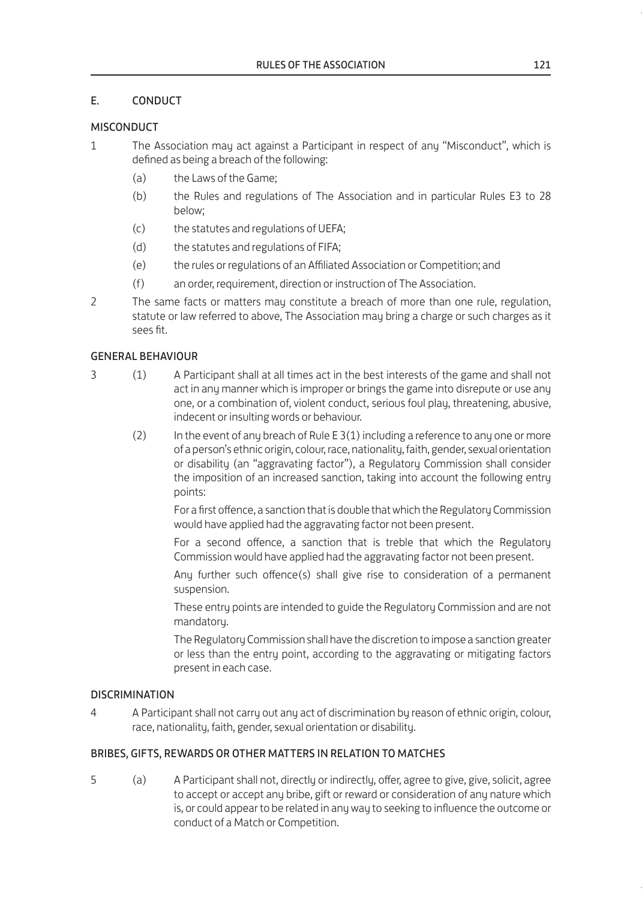## E. CONDUCT

## **MISCONDUCT**

- 1 The Association may act against a Participant in respect of any "Misconduct", which is defined as being a breach of the following:
	- (a) the Laws of the Game;
	- (b) the Rules and regulations of The Association and in particular Rules E3 to 28 below;
	- (c) the statutes and regulations of UEFA;
	- (d) the statutes and regulations of FIFA;
	- (e) the rules or regulations of an Affiliated Association or Competition; and
	- (f) an order, requirement, direction or instruction of The Association.
- 2 The same facts or matters may constitute a breach of more than one rule, regulation, statute or law referred to above, The Association may bring a charge or such charges as it sees fit

## GENERAL BEHAVIOUR

- 3 (1) A Participant shall at all times act in the best interests of the game and shall not act in any manner which is improper or brings the game into disrepute or use any one, or a combination of, violent conduct, serious foul play, threatening, abusive, indecent or insulting words or behaviour.
	- (2) In the event of any breach of Rule E 3(1) including a reference to any one or more of a person's ethnic origin, colour, race, nationality, faith, gender, sexual orientation or disability (an "aggravating factor"), a Regulatory Commission shall consider the imposition of an increased sanction, taking into account the following entry points:

For a first offence, a sanction that is double that which the Regulatory Commission would have applied had the aggravating factor not been present.

For a second offence, a sanction that is treble that which the Regulatory Commission would have applied had the aggravating factor not been present.

Any further such offence(s) shall give rise to consideration of a permanent suspension.

These entry points are intended to guide the Regulatory Commission and are not mandatory.

The Regulatory Commission shall have the discretion to impose a sanction greater or less than the entry point, according to the aggravating or mitigating factors present in each case.

## DISCRIMINATION

4 A Participant shall not carry out any act of discrimination by reason of ethnic origin, colour, race, nationality, faith, gender, sexual orientation or disability.

## BRIBES, GIFTS, REWARDS OR OTHER MATTERS IN RELATION TO MATCHES

5 (a) A Participant shall not, directly or indirectly, offer, agree to give, give, solicit, agree to accept or accept any bribe, gift or reward or consideration of any nature which is, or could appear to be related in any way to seeking to influence the outcome or conduct of a Match or Competition.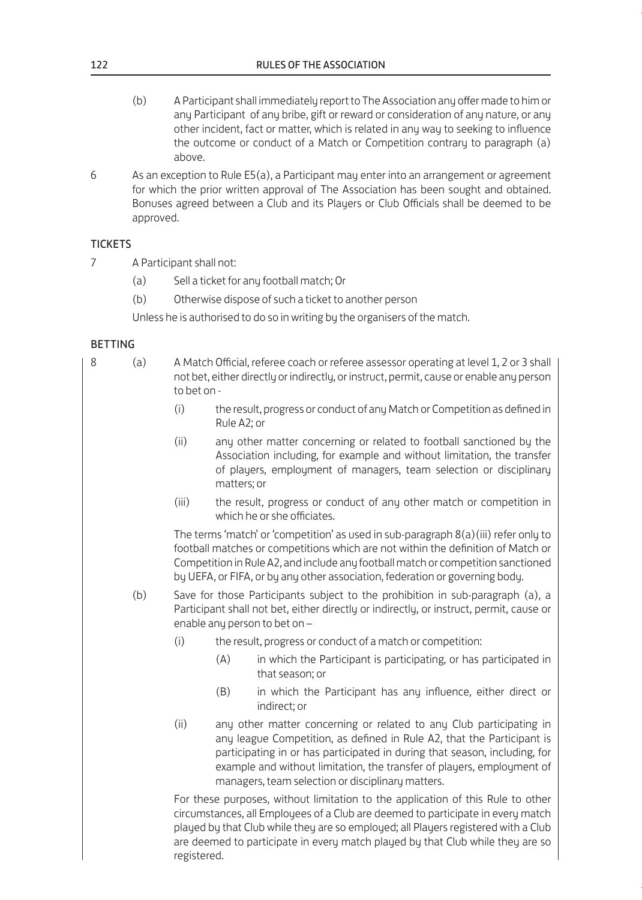- (b) A Participant shall immediately report to The Association any offer made to him or any Participant of any bribe, gift or reward or consideration of any nature, or any other incident, fact or matter, which is related in any way to seeking to influence the outcome or conduct of a Match or Competition contrary to paragraph (a) above.
- 6  $\overline{a}$  As an exception to Rule E5(a), a Participant may enter into an arrangement or agreement for which the prior written approval of The Association has been sought and obtained. Bonuses agreed between a Club and its Players or Club Officials shall be deemed to be approved.

## **TICKETS**

- 7 A Participant shall not:
	- (a) Sell a ticket for any football match; Or
	- (b) Otherwise dispose of such a ticket to another person

Unless he is authorised to do so in writing by the organisers of the match.

## **BETTING**

- 8 (a) A Match Official, referee coach or referee assessor operating at level 1, 2 or 3 shall not bet, either directly or indirectly, or instruct, permit, cause or enable any person to bet on -
	- (i) the result, progress or conduct of any Match or Competition as defined in Rule A2; or
	- (ii) any other matter concerning or related to football sanctioned by the Association including, for example and without limitation, the transfer of players, employment of managers, team selection or disciplinary matters; or
	- (iii) the result, progress or conduct of any other match or competition in which he or she officiates.

 The terms 'match' or 'competition' as used in sub-paragraph 8(a)(iii) refer only to football matches or competitions which are not within the definition of Match or Competition in Rule A2, and include any football match or competition sanctioned by UEFA, or FIFA, or by any other association, federation or governing body.

- (b) Save for those Participants subject to the prohibition in sub-paragraph (a), a Participant shall not bet, either directly or indirectly, or instruct, permit, cause or enable any person to bet on –
	- (i) the result, progress or conduct of a match or competition:
		- (A) in which the Participant is participating, or has participated in that season; or
		- (B) in which the Participant has any influence, either direct or indirect; or
	- (ii) any other matter concerning or related to any Club participating in any league Competition, as defined in Rule A2, that the Participant is participating in or has participated in during that season, including, for example and without limitation, the transfer of players, employment of managers, team selection or disciplinary matters.

 For these purposes, without limitation to the application of this Rule to other circumstances, all Employees of a Club are deemed to participate in every match played by that Club while they are so employed; all Players registered with a Club are deemed to participate in every match played by that Club while they are so registered.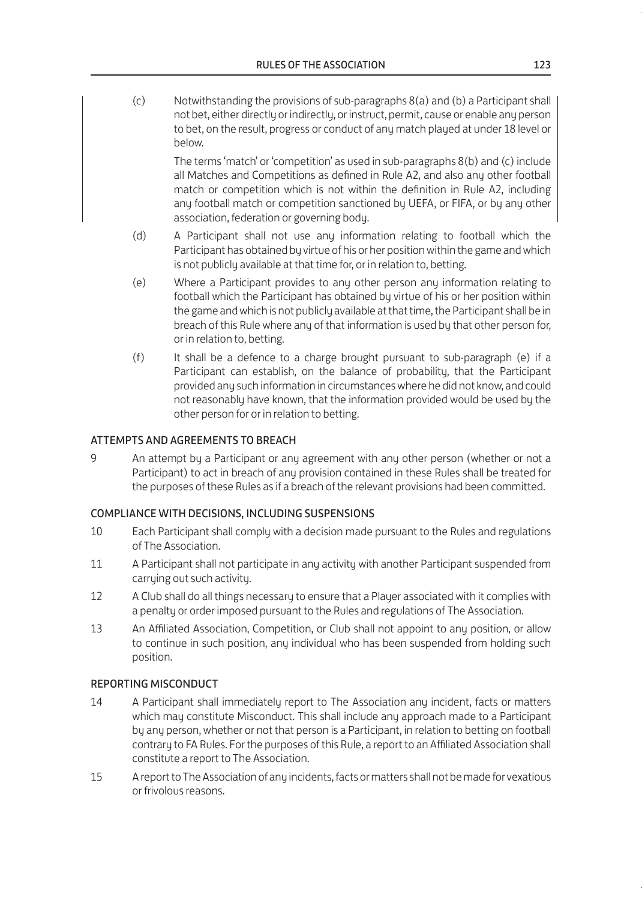(c) Notwithstanding the provisions of sub-paragraphs 8(a) and (b) a Participant shall not bet, either directly or indirectly, or instruct, permit, cause or enable any person to bet, on the result, progress or conduct of any match played at under 18 level or below.

 The terms 'match' or 'competition' as used in sub-paragraphs 8(b) and (c) include all Matches and Competitions as defined in Rule A2, and also any other football match or competition which is not within the definition in Rule A2, including any football match or competition sanctioned by UEFA, or FIFA, or by any other association, federation or governing body.

- (d) A Participant shall not use any information relating to football which the Participant has obtained by virtue of his or her position within the game and which is not publicly available at that time for, or in relation to, betting.
- (e) Where a Participant provides to any other person any information relating to football which the Participant has obtained by virtue of his or her position within the game and which is not publicly available at that time, the Participant shall be in breach of this Rule where any of that information is used by that other person for, or in relation to, betting.
- (f) It shall be a defence to a charge brought pursuant to sub-paragraph (e) if a Participant can establish, on the balance of probability, that the Participant provided any such information in circumstances where he did not know, and could not reasonably have known, that the information provided would be used by the other person for or in relation to betting.

## ATTEMPTS AND AGREEMENTS TO BREACH

9 An attempt by a Participant or any agreement with any other person (whether or not a Participant) to act in breach of any provision contained in these Rules shall be treated for the purposes of these Rules as if a breach of the relevant provisions had been committed.

# COMPLIANCE WITH DECISIONS, INCLUDING SUSPENSIONS

- 10 Each Participant shall comply with a decision made pursuant to the Rules and regulations of The Association.
- 11 A Participant shall not participate in any activity with another Participant suspended from carrying out such activity.
- 12 A Club shall do all things necessary to ensure that a Player associated with it complies with a penalty or order imposed pursuant to the Rules and regulations of The Association.
- 13 An Affiliated Association, Competition, or Club shall not appoint to any position, or allow to continue in such position, any individual who has been suspended from holding such position.

## REPORTING MISCONDUCT

- 14 A Participant shall immediately report to The Association any incident, facts or matters which may constitute Misconduct. This shall include any approach made to a Participant by any person, whether or not that person is a Participant, in relation to betting on football contrary to FA Rules. For the purposes of this Rule, a report to an Affiliated Association shall constitute a report to The Association.
- 15 A report to The Association of any incidents, facts or matters shall not be made for vexatious or frivolous reasons.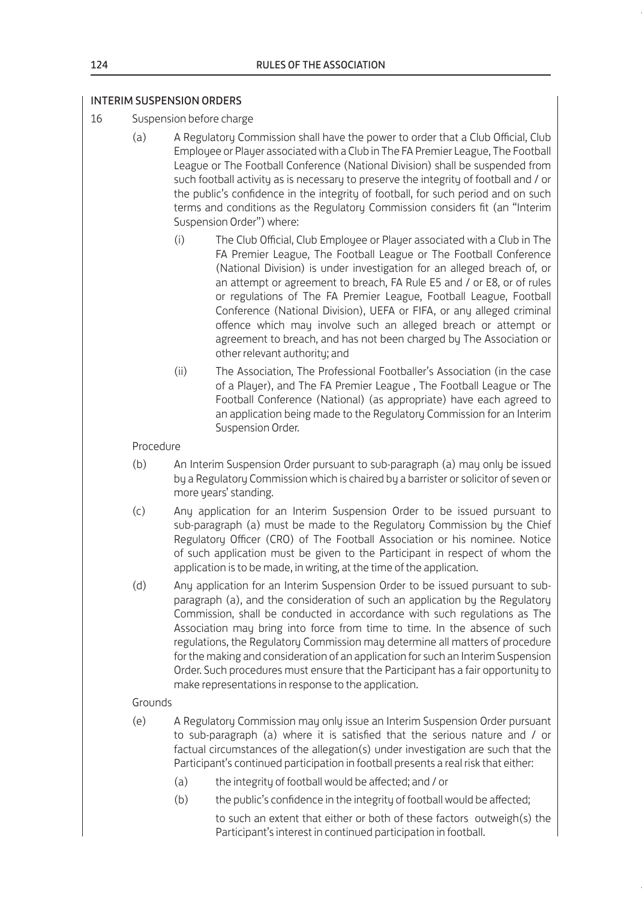## INTERIM SUSPENSION ORDERS

- 16 Suspension before charge
	- (a) A Regulatory Commission shall have the power to order that a Club Official, Club Employee or Player associated with a Club in The FA Premier League, The Football League or The Football Conference (National Division) shall be suspended from such football activitu as is necessary to preserve the integrity of football and / or the public's confidence in the integrity of football, for such period and on such terms and conditions as the Regulatory Commission considers fit (an "Interim Suspension Order") where:
		- (i) The Club Official, Club Employee or Player associated with a Club in The FA Premier League, The Football League or The Football Conference (National Division) is under investigation for an alleged breach of, or an attempt or agreement to breach, FA Rule E5 and / or E8, or of rules or regulations of The FA Premier League, Football League, Football Conference (National Division), UEFA or FIFA, or any alleged criminal offence which may involve such an alleged breach or attempt or agreement to breach, and has not been charged by The Association or other relevant authority; and
		- (ii) The Association, The Professional Footballer's Association (in the case of a Player), and The FA Premier League , The Football League or The Football Conference (National) (as appropriate) have each agreed to an application being made to the Regulatory Commission for an Interim Suspension Order.

#### Procedure

- (b) An Interim Suspension Order pursuant to sub-paragraph (a) may only be issued by a Regulatory Commission which is chaired by a barrister or solicitor of seven or more years' standing.
- (c) Any application for an Interim Suspension Order to be issued pursuant to sub-paragraph (a) must be made to the Regulatory Commission by the Chief Regulatory Officer (CRO) of The Football Association or his nominee. Notice of such application must be given to the Participant in respect of whom the application is to be made, in writing, at the time of the application.
- (d) Any application for an Interim Suspension Order to be issued pursuant to subparagraph (a), and the consideration of such an application by the Regulatory Commission, shall be conducted in accordance with such regulations as The Association may bring into force from time to time. In the absence of such regulations, the Regulatory Commission may determine all matters of procedure for the making and consideration of an application for such an Interim Suspension Order. Such procedures must ensure that the Participant has a fair opportunity to make representations in response to the application.

### Grounds

- (e) A Regulatory Commission may only issue an Interim Suspension Order pursuant to sub-paragraph (a) where it is satisfied that the serious nature and / or factual circumstances of the allegation(s) under investigation are such that the Participant's continued participation in football presents a real risk that either:
	- (a) the integrity of football would be affected; and / or
	- (b) the public's confidence in the integrity of football would be affected; to such an extent that either or both of these factors outweigh(s) the Participant's interest in continued participation in football.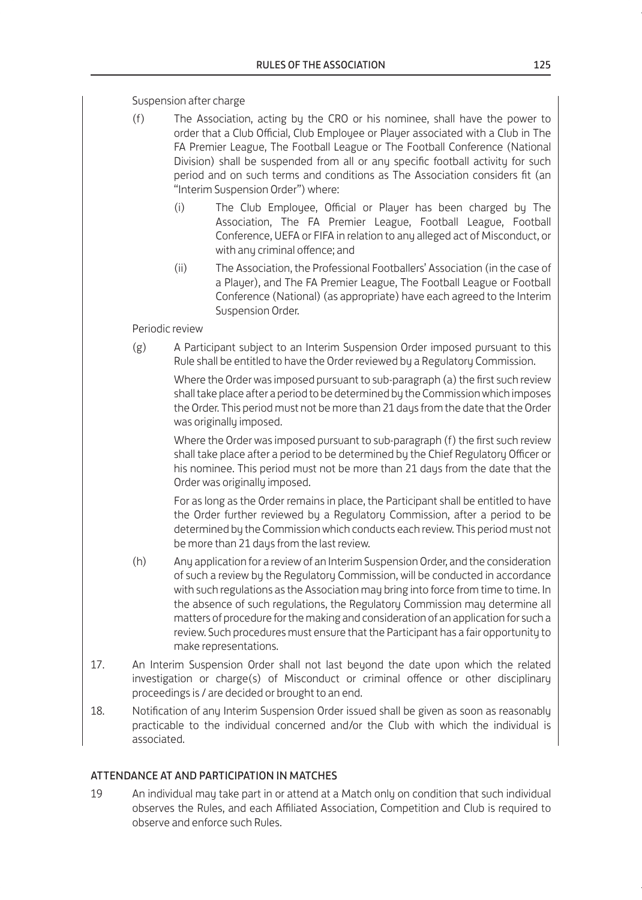### Suspension after charge

- (f) The Association, acting by the CRO or his nominee, shall have the power to order that a Club Official, Club Employee or Player associated with a Club in The FA Premier League, The Football League or The Football Conference (National Division) shall be suspended from all or any specific football activity for such period and on such terms and conditions as The Association considers fit (an "Interim Suspension Order") where:
	- (i) The Club Employee, Official or Player has been charged by The Association, The FA Premier League, Football League, Football Conference, UEFA or FIFA in relation to any alleged act of Misconduct, or with any criminal offence; and
	- (ii) The Association, the Professional Footballers' Association (in the case of a Player), and The FA Premier League, The Football League or Football Conference (National) (as appropriate) have each agreed to the Interim Suspension Order.

## Periodic review

(g) A Participant subject to an Interim Suspension Order imposed pursuant to this Rule shall be entitled to have the Order reviewed by a Regulatory Commission.

> Where the Order was imposed pursuant to sub-paragraph (a) the first such review shall take place after a period to be determined by the Commission which imposes the Order. This period must not be more than 21 days from the date that the Order was originally imposed.

> Where the Order was imposed pursuant to sub-paragraph (f) the first such review shall take place after a period to be determined by the Chief Regulatory Officer or his nominee. This period must not be more than 21 days from the date that the Order was originally imposed.

> For as long as the Order remains in place, the Participant shall be entitled to have the Order further reviewed by a Regulatory Commission, after a period to be determined by the Commission which conducts each review. This period must not be more than 21 days from the last review.

- (h) Any application for a review of an Interim Suspension Order, and the consideration of such a review by the Regulatory Commission, will be conducted in accordance with such regulations as the Association may bring into force from time to time. In the absence of such regulations, the Regulatory Commission may determine all matters of procedure for the making and consideration of an application for such a review. Such procedures must ensure that the Participant has a fair opportunity to make representations.
- 17. An Interim Suspension Order shall not last beyond the date upon which the related investigation or charge(s) of Misconduct or criminal offence or other disciplinary proceedings is / are decided or brought to an end.
- 18. Notification of any Interim Suspension Order issued shall be given as soon as reasonably practicable to the individual concerned and/or the Club with which the individual is associated.

## ATTENDANCE AT AND PARTICIPATION IN MATCHES

19 An individual may take part in or attend at a Match only on condition that such individual observes the Rules, and each Affiliated Association, Competition and Club is required to observe and enforce such Rules.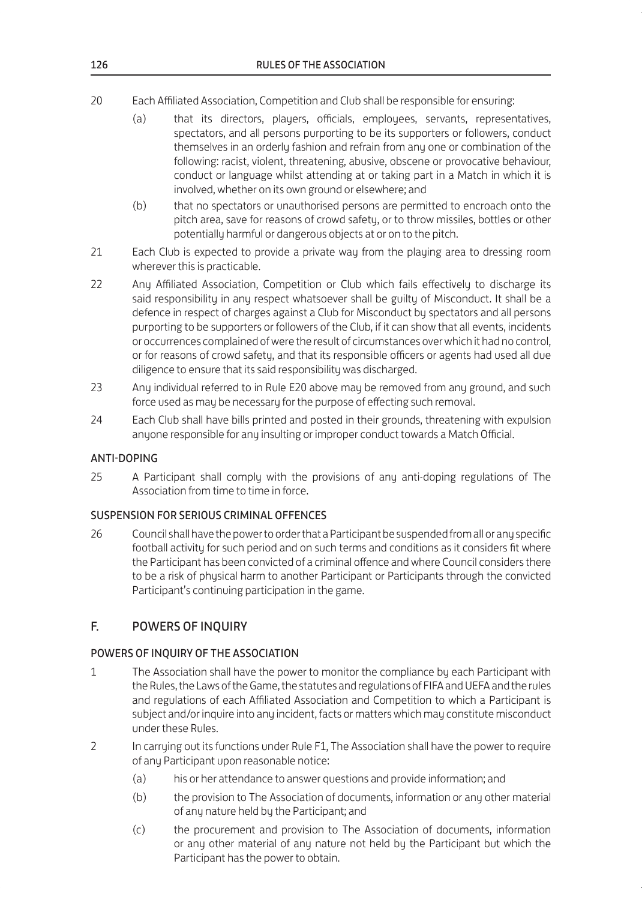- 20 Each Affiliated Association, Competition and Club shall be responsible for ensuring:
	- (a) that its directors, players, officials, employees, servants, representatives, spectators, and all persons purporting to be its supporters or followers, conduct themselves in an orderly fashion and refrain from any one or combination of the following: racist, violent, threatening, abusive, obscene or provocative behaviour, conduct or language whilst attending at or taking part in a Match in which it is involved, whether on its own ground or elsewhere; and
	- (b) that no spectators or unauthorised persons are permitted to encroach onto the pitch area, save for reasons of crowd safety, or to throw missiles, bottles or other potentially harmful or dangerous objects at or on to the pitch.
- 21 Each Club is expected to provide a private way from the playing area to dressing room wherever this is practicable.
- 22 Any Affiliated Association, Competition or Club which fails effectively to discharge its said responsibility in any respect whatsoever shall be guilty of Misconduct. It shall be a defence in respect of charges against a Club for Misconduct by spectators and all persons purporting to be supporters or followers of the Club, if it can show that all events, incidents or occurrences complained of were the result of circumstances over which it had no control, or for reasons of crowd safety, and that its responsible officers or agents had used all due diligence to ensure that its said responsibility was discharged.
- 23 Any individual referred to in Rule E20 above may be removed from any ground, and such force used as may be necessary for the purpose of effecting such removal.
- 24 Each Club shall have bills printed and posted in their grounds, threatening with expulsion anyone responsible for any insulting or improper conduct towards a Match Official.

## ANTI-DOPING

25 A Participant shall comply with the provisions of any anti-doping regulations of The Association from time to time in force.

## SUSPENSION FOR SERIOUS CRIMINAL OFFENCES

26 Council shall have the power to order that a Participant be suspended from all or any specific football activity for such period and on such terms and conditions as it considers fit where the Participant has been convicted of a criminal offence and where Council considers there to be a risk of physical harm to another Participant or Participants through the convicted Participant's continuing participation in the game.

## F. POWERS OF INQUIRY

## POWERS OF INQUIRY OF THE ASSOCIATION

- 1 The Association shall have the power to monitor the compliance by each Participant with the Rules, the Laws of the Game, the statutes and regulations of FIFA and UEFA and the rules and regulations of each Affiliated Association and Competition to which a Participant is subject and/or inquire into any incident, facts or matters which may constitute misconduct under these Rules.
- 2 In carrying out its functions under Rule F1, The Association shall have the power to require of any Participant upon reasonable notice:
	- (a) his or her attendance to answer questions and provide information; and
	- (b) the provision to The Association of documents, information or any other material of any nature held by the Participant; and
	- (c) the procurement and provision to The Association of documents, information or any other material of any nature not held by the Participant but which the Participant has the power to obtain.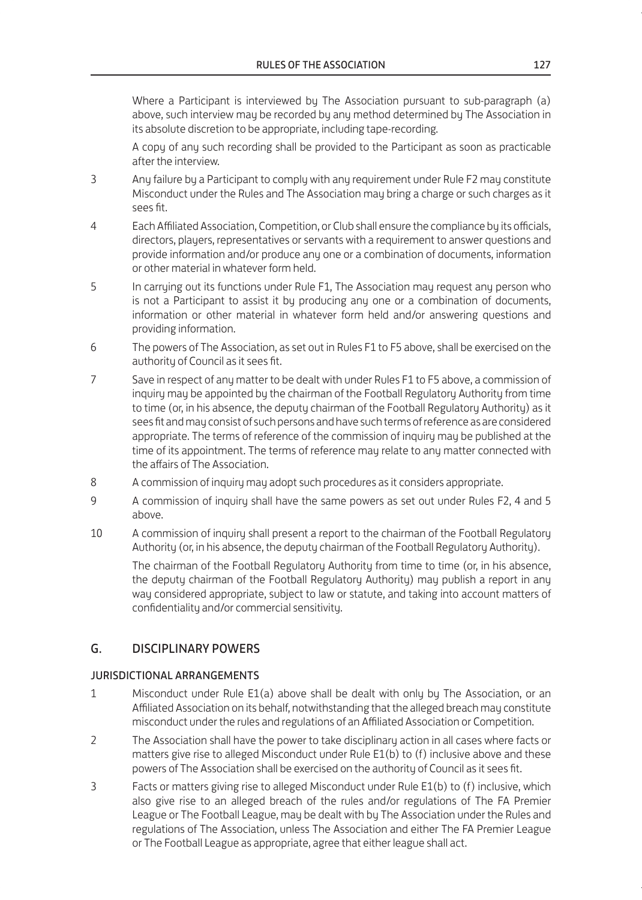Where a Participant is interviewed by The Association pursuant to sub-paragraph (a) above, such interview may be recorded by any method determined by The Association in its absolute discretion to be appropriate, including tape-recording.

A copy of any such recording shall be provided to the Participant as soon as practicable after the interview.

- 3 Any failure by a Participant to comply with any requirement under Rule F2 may constitute Misconduct under the Rules and The Association may bring a charge or such charges as it sees fit
- 4 Each Affiliated Association, Competition, or Club shall ensure the compliance by its officials, directors, players, representatives or servants with a requirement to answer questions and provide information and/or produce any one or a combination of documents, information or other material in whatever form held.
- 5 In carrying out its functions under Rule F1, The Association may request any person who is not a Participant to assist it by producing any one or a combination of documents, information or other material in whatever form held and/or answering questions and providing information.
- 6 The powers of The Association, as set out in Rules F1 to F5 above, shall be exercised on the authority of Council as it sees fit.
- 7 Save in respect of any matter to be dealt with under Rules F1 to F5 above, a commission of inquiry may be appointed by the chairman of the Football Regulatory Authority from time to time (or, in his absence, the deputy chairman of the Football Regulatory Authority) as it sees fit and may consist of such persons and have such terms of reference as are considered appropriate. The terms of reference of the commission of inquiry may be published at the time of its appointment. The terms of reference may relate to any matter connected with the affairs of The Association.
- 8 A commission of inquiry may adopt such procedures as it considers appropriate.
- 9 A commission of inquiry shall have the same powers as set out under Rules F2, 4 and 5 above.
- 10 A commission of inquiry shall present a report to the chairman of the Football Regulatory Authority (or, in his absence, the deputy chairman of the Football Regulatory Authority).

The chairman of the Football Regulatory Authority from time to time (or, in his absence, the deputy chairman of the Football Regulatory Authority) may publish a report in any way considered appropriate, subject to law or statute, and taking into account matters of confidentiality and/or commercial sensitivity.

# G. DISCIPLINARY POWERS

## JURISDICTIONAL ARRANGEMENTS

- 1 Misconduct under Rule E1(a) above shall be dealt with only by The Association, or an Affiliated Association on its behalf, notwithstanding that the alleged breach may constitute misconduct under the rules and regulations of an Affiliated Association or Competition.
- 2 The Association shall have the power to take disciplinary action in all cases where facts or matters give rise to alleged Misconduct under Rule E1(b) to (f) inclusive above and these powers of The Association shall be exercised on the authority of Council as it sees fit.
- 3 Facts or matters giving rise to alleged Misconduct under Rule E1(b) to (f) inclusive, which also give rise to an alleged breach of the rules and/or regulations of The FA Premier League or The Football League, may be dealt with by The Association under the Rules and regulations of The Association, unless The Association and either The FA Premier League or The Football League as appropriate, agree that either league shall act.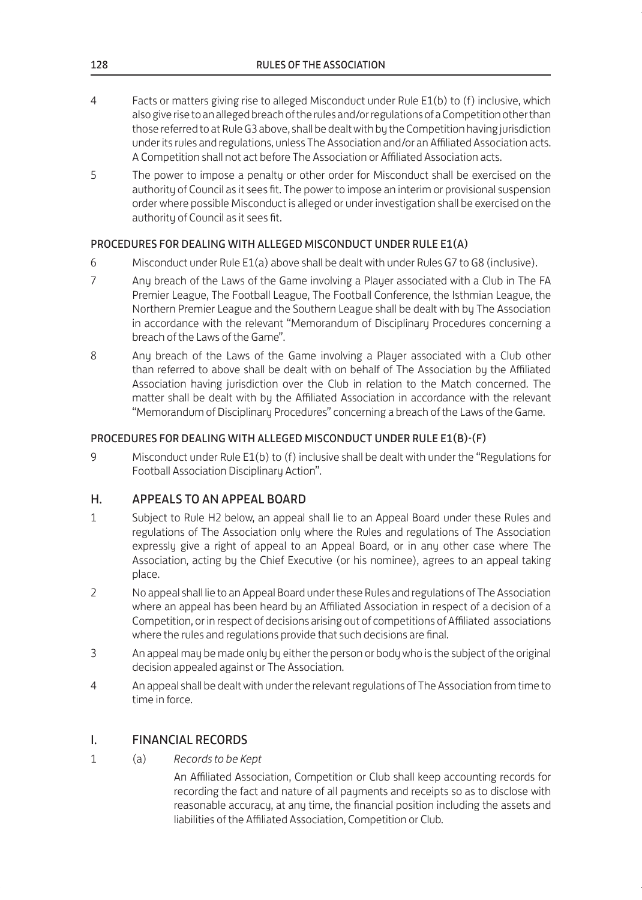- 4 Facts or matters giving rise to alleged Misconduct under Rule E1(b) to (f) inclusive, which also give rise to an alleged breach of the rules and/or regulations of a Competition other than those referred to at Rule G3 above, shall be dealt with by the Competition having jurisdiction under its rules and regulations, unless The Association and/or an Affiliated Association acts. A Competition shall not act before The Association or Affiliated Association acts.
- 5 The power to impose a penalty or other order for Misconduct shall be exercised on the authority of Council as it sees fit. The power to impose an interim or provisional suspension order where possible Misconduct is alleged or under investigation shall be exercised on the authority of Council as it sees fit.

## PROCEDURES FOR DEALING WITH ALLEGED MISCONDUCT UNDER RULE E1(A)

- 6 Misconduct under Rule E1(a) above shall be dealt with under Rules G7 to G8 (inclusive).
- 7 Any breach of the Laws of the Game involving a Player associated with a Club in The FA Premier League, The Football League, The Football Conference, the Isthmian League, the Northern Premier League and the Southern League shall be dealt with by The Association in accordance with the relevant "Memorandum of Disciplinary Procedures concerning a breach of the Laws of the Game".
- 8 Any breach of the Laws of the Game involving a Player associated with a Club other than referred to above shall be dealt with on behalf of The Association by the Affiliated Association having jurisdiction over the Club in relation to the Match concerned. The matter shall be dealt with by the Affiliated Association in accordance with the relevant "Memorandum of Disciplinary Procedures" concerning a breach of the Laws of the Game.

## PROCEDURES FOR DEALING WITH ALLEGED MISCONDUCT UNDER RULE E1(B)-(F)

9 Misconduct under Rule E1(b) to (f) inclusive shall be dealt with under the "Regulations for Football Association Disciplinary Action".

# H. APPEALS TO AN APPEAL BOARD

- 1 Subject to Rule H2 below, an appeal shall lie to an Appeal Board under these Rules and regulations of The Association only where the Rules and regulations of The Association expressly give a right of appeal to an Appeal Board, or in any other case where The Association, acting by the Chief Executive (or his nominee), agrees to an appeal taking place.
- 2 No appeal shall lie to an Appeal Board under these Rules and regulations of The Association where an appeal has been heard by an Affiliated Association in respect of a decision of a Competition, or in respect of decisions arising out of competitions of Affiliated associations where the rules and regulations provide that such decisions are final.
- 3 An appeal may be made only by either the person or body who is the subject of the original decision appealed against or The Association.
- 4 An appeal shall be dealt with under the relevant regulations of The Association from time to time in force.

## I. FINANCIAL RECORDS

1 (a) *Records to be Kept*

An Affiliated Association, Competition or Club shall keep accounting records for recording the fact and nature of all payments and receipts so as to disclose with reasonable accuracy, at any time, the financial position including the assets and liabilities of the Affiliated Association, Competition or Club.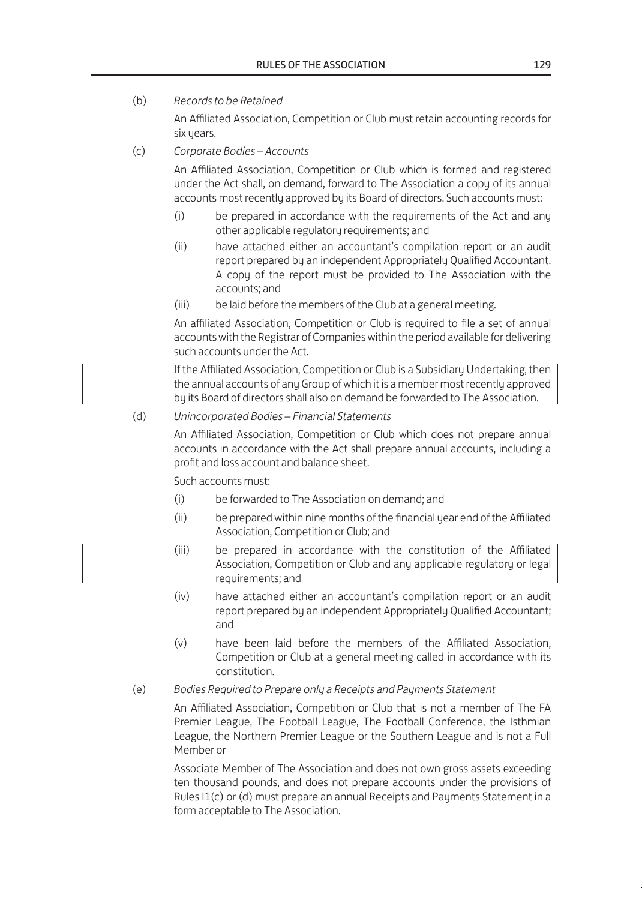### (b) *Records to be Retained*

An Affiliated Association, Competition or Club must retain accounting records for six years.

### (c) *Corporate Bodies – Accounts*

An Affiliated Association, Competition or Club which is formed and registered under the Act shall, on demand, forward to The Association a copy of its annual accounts most recently approved by its Board of directors. Such accounts must:

- (i) be prepared in accordance with the requirements of the Act and any other applicable regulatory requirements; and
- (ii) have attached either an accountant's compilation report or an audit report prepared by an independent Appropriately Qualified Accountant. A copy of the report must be provided to The Association with the accounts; and
- (iii) be laid before the members of the Club at a general meeting.

An affiliated Association, Competition or Club is required to file a set of annual accounts with the Registrar of Companies within the period available for delivering such accounts under the Act.

If the Affiliated Association, Competition or Club is a Subsidiary Undertaking, then the annual accounts of any Group of which it is a member most recently approved by its Board of directors shall also on demand be forwarded to The Association.

### (d) *Unincorporated Bodies – Financial Statements*

An Affiliated Association, Competition or Club which does not prepare annual accounts in accordance with the Act shall prepare annual accounts, including a profit and loss account and balance sheet.

## Such accounts must:

- (i) be forwarded to The Association on demand; and
- $(i)$  be prepared within nine months of the financial year end of the Affiliated Association, Competition or Club; and
- (iii) be prepared in accordance with the constitution of the Affiliated Association, Competition or Club and any applicable regulatory or legal requirements; and
- (iv) have attached either an accountant's compilation report or an audit report prepared by an independent Appropriately Qualified Accountant; and
- (v) have been laid before the members of the Affiliated Association, Competition or Club at a general meeting called in accordance with its constitution.
- (e) *Bodies Required to Prepare only a Receipts and Payments Statement*

An Affiliated Association, Competition or Club that is not a member of The FA Premier League, The Football League, The Football Conference, the Isthmian League, the Northern Premier League or the Southern League and is not a Full Member or

Associate Member of The Association and does not own gross assets exceeding ten thousand pounds, and does not prepare accounts under the provisions of Rules I1(c) or (d) must prepare an annual Receipts and Payments Statement in a form acceptable to The Association.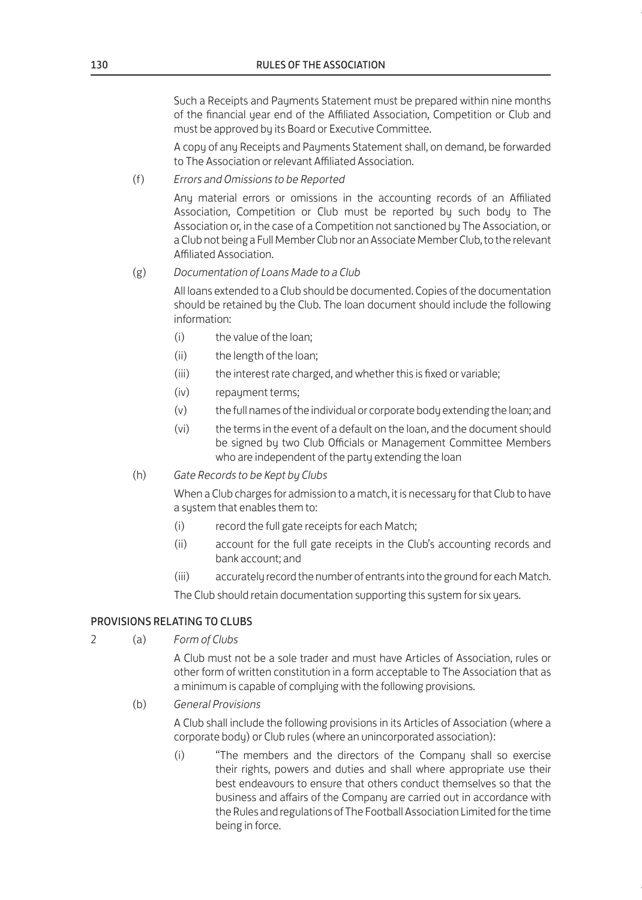Such a Receipts and Payments Statement must be prepared within nine months of the financial year end of the Affiliated Association, Competition or Club and must be approved by its Board or Executive Committee.

A copy of any Receipts and Payments Statement shall, on demand, be forwarded to The Association or relevant Affiliated Association.

(f) *Errors and Omissions to be Reported*

Any material errors or omissions in the accounting records of an Affiliated Association, Competition or Club must be reported by such body to The Association or, in the case of a Competition not sanctioned by The Association, or a Club not being a Full Member Club nor an Associate Member Club, to the relevant Affiliated Association.

#### (g) *Documentation of Loans Made to a Club*

All loans extended to a Club should be documented. Copies of the documentation should be retained by the Club. The loan document should include the following information:

- (i) the value of the loan;
- (ii) the length of the loan;
- (iii) the interest rate charged, and whether this is fixed or variable;
- (iv) repayment terms:
- (v) the full names of the individual or corporate body extending the loan; and
- (vi) the terms in the event of a default on the loan, and the document should be signed by two Club Officials or Management Committee Members who are independent of the party extending the loan
- (h) *Gate Records to be Kept by Clubs*

When a Club charges for admission to a match, it is necessary for that Club to have a system that enables them to:

- (i) record the full gate receipts for each Match;
- (ii) account for the full gate receipts in the Club's accounting records and bank account; and
- (iii) accurately record the number of entrants into the ground for each Match.

The Club should retain documentation supporting this system for six years.

### PROVISIONS RELATING TO CLUBS

2 (a) *Form of Clubs*

A Club must not be a sole trader and must have Articles of Association, rules or other form of written constitution in a form acceptable to The Association that as a minimum is capable of complying with the following provisions.

(b) *General Provisions*

A Club shall include the following provisions in its Articles of Association (where a corporate body) or Club rules (where an unincorporated association):

(i) "The members and the directors of the Company shall so exercise their rights, powers and duties and shall where appropriate use their best endeavours to ensure that others conduct themselves so that the business and affairs of the Company are carried out in accordance with the Rules and regulations of The Football Association Limited for the time being in force.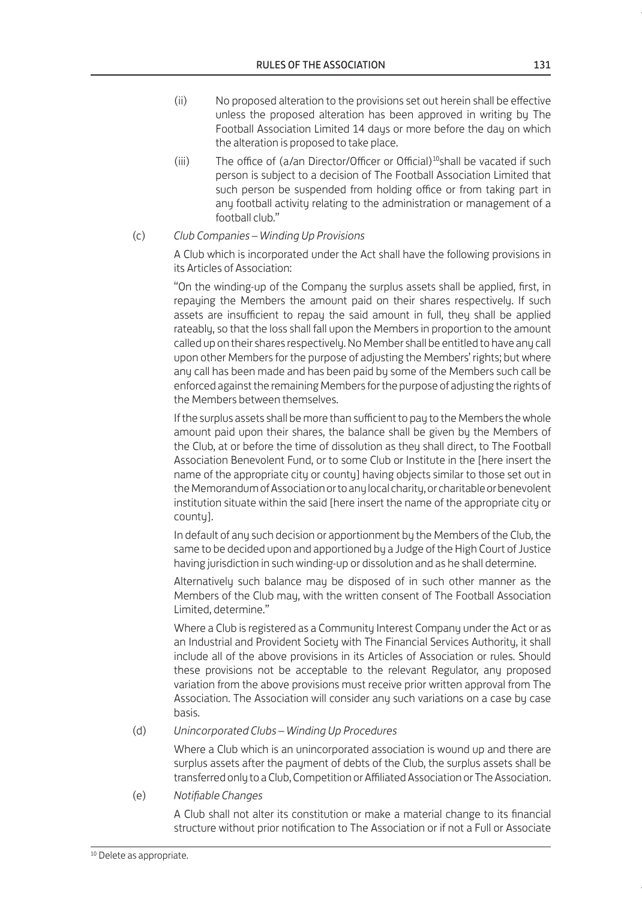- $(ii)$  No proposed alteration to the provisions set out herein shall be effective unless the proposed alteration has been approved in writing by The Football Association Limited 14 days or more before the day on which the alteration is proposed to take place.
- (iii) The office of (a/an Director/Officer or Official)<sup>10</sup>shall be vacated if such person is subject to a decision of The Football Association Limited that such person be suspended from holding office or from taking part in any football activity relating to the administration or management of a football club."

### (c) *Club Companies – Winding Up Provisions*

A Club which is incorporated under the Act shall have the following provisions in its Articles of Association:

"On the winding-up of the Company the surplus assets shall be applied, first, in repaying the Members the amount paid on their shares respectively. If such assets are insufficient to repay the said amount in full, they shall be applied rateably, so that the loss shall fall upon the Members in proportion to the amount called up on their shares respectively. No Member shall be entitled to have any call upon other Members for the purpose of adjusting the Members' rights; but where any call has been made and has been paid by some of the Members such call be enforced against the remaining Members for the purpose of adjusting the rights of the Members between themselves.

If the surplus assets shall be more than sufficient to pay to the Members the whole amount paid upon their shares, the balance shall be given bu the Members of the Club, at or before the time of dissolution as they shall direct, to The Football Association Benevolent Fund, or to some Club or Institute in the [here insert the name of the appropriate city or county] having objects similar to those set out in the Memorandum of Association or to any local charity, or charitable or benevolent institution situate within the said [here insert the name of the appropriate city or countul.

In default of any such decision or apportionment by the Members of the Club, the same to be decided upon and apportioned by a Judge of the High Court of Justice having jurisdiction in such winding-up or dissolution and as he shall determine.

Alternatively such balance may be disposed of in such other manner as the Members of the Club may, with the written consent of The Football Association Limited, determine."

Where a Club is registered as a Community Interest Company under the Act or as an Industrial and Provident Society with The Financial Services Authority, it shall include all of the above provisions in its Articles of Association or rules. Should these provisions not be acceptable to the relevant Regulator, any proposed variation from the above provisions must receive prior written approval from The Association. The Association will consider any such variations on a case by case basis.

### (d) *Unincorporated Clubs – Winding Up Procedures*

Where a Club which is an unincorporated association is wound up and there are surplus assets after the payment of debts of the Club, the surplus assets shall be transferred only to a Club, Competition or Affiliated Association or The Association.

(e) *Notifi able Changes*

A Club shall not alter its constitution or make a material change to its financial structure without prior notification to The Association or if not a Full or Associate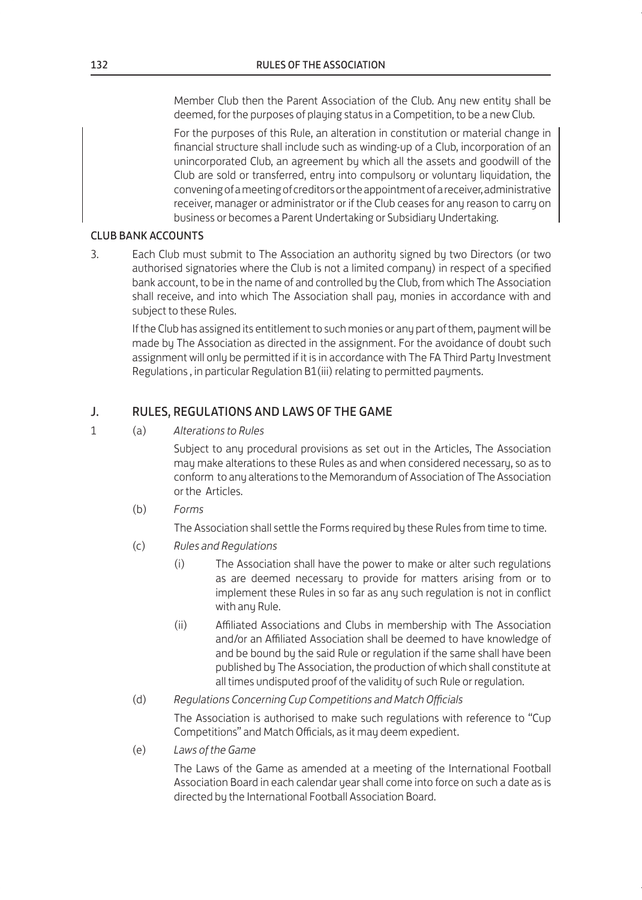Member Club then the Parent Association of the Club. Any new entity shall be deemed, for the purposes of playing status in a Competition, to be a new Club.

For the purposes of this Rule, an alteration in constitution or material change in financial structure shall include such as winding-up of a Club, incorporation of an unincorporated Club, an agreement by which all the assets and goodwill of the Club are sold or transferred, entry into compulsory or voluntary liquidation, the convening of a meeting of creditors or the appointment of a receiver, administrative receiver, manager or administrator or if the Club ceases for any reason to carry on business or becomes a Parent Undertaking or Subsidiary Undertaking.

### CLUB BANK ACCOUNTS

3. Each Club must submit to The Association an authority signed by two Directors (or two authorised signatories where the Club is not a limited company) in respect of a specified bank account, to be in the name of and controlled by the Club, from which The Association shall receive, and into which The Association shall pay, monies in accordance with and subject to these Rules.

If the Club has assigned its entitlement to such monies or any part of them, payment will be made by The Association as directed in the assignment. For the avoidance of doubt such assignment will only be permitted if it is in accordance with The FA Third Party Investment Regulations , in particular Regulation B1(iii) relating to permitted payments.

## J. RULES, REGULATIONS AND LAWS OF THE GAME

1 (a) *Alterations to Rules*

Subject to any procedural provisions as set out in the Articles, The Association may make alterations to these Rules as and when considered necessary, so as to conform to any alterations to the Memorandum of Association of The Association or the Articles.

(b) *Forms*

The Association shall settle the Forms required by these Rules from time to time.

- (c) *Rules and Regulations*
	- (i) The Association shall have the power to make or alter such regulations as are deemed necessary to provide for matters arising from or to implement these Rules in so far as any such regulation is not in conflict with any Rule.
	- (ii) Affiliated Associations and Clubs in membership with The Association and/or an Affiliated Association shall be deemed to have knowledge of and be bound by the said Rule or regulation if the same shall have been published by The Association, the production of which shall constitute at all times undisputed proof of the validity of such Rule or regulation.
- (d) *Regulations Concerning Cup Competitions and Match Offi cials* The Association is authorised to make such regulations with reference to "Cup

Competitions" and Match Officials, as it may deem expedient.

(e) *Laws of the Game*

The Laws of the Game as amended at a meeting of the International Football Association Board in each calendar year shall come into force on such a date as is directed by the International Football Association Board.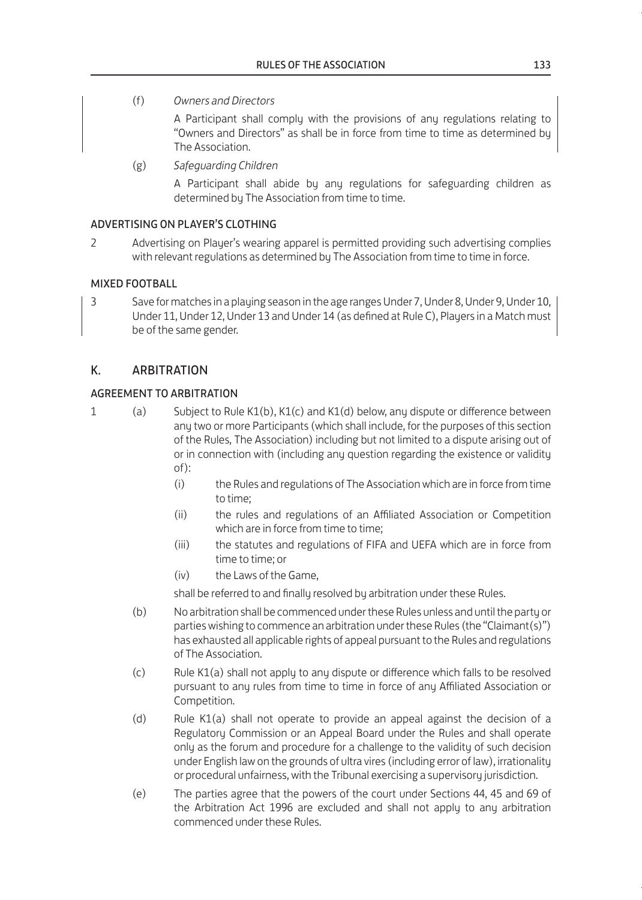(f) *Owners and Directors*

A Participant shall comply with the provisions of any regulations relating to "Owners and Directors" as shall be in force from time to time as determined by The Association.

(g) *Safeguarding Children*

A Participant shall abide by any regulations for safeguarding children as determined by The Association from time to time.

### ADVERTISING ON PLAYER'S CLOTHING

2 Advertising on Player's wearing apparel is permitted providing such advertising complies with relevant regulations as determined by The Association from time to time in force.

### MIXED FOOTBALL

3 Save for matches in a playing season in the age ranges Under 7, Under 8, Under 9, Under 10, Under 11, Under 12, Under 13 and Under 14 (as defined at Rule C), Players in a Match must be of the same gender.

## K. ARBITRATION

## AGREEMENT TO ARBITRATION

- 1  $(a)$  Subject to Rule K1(b), K1(c) and K1(d) below, any dispute or difference between any two or more Participants (which shall include, for the purposes of this section of the Rules, The Association) including but not limited to a dispute arising out of or in connection with (including any question regarding the existence or validity of):
	- (i) the Rules and regulations of The Association which are in force from time to time;
	- (ii) the rules and regulations of an Affiliated Association or Competition which are in force from time to time;
	- (iii) the statutes and regulations of FIFA and UEFA which are in force from time to time; or
	- (iv) the Laws of the Game,

shall be referred to and finally resolved by arbitration under these Rules.

- (b) No arbitration shall be commenced under these Rules unless and until the party or parties wishing to commence an arbitration under these Rules (the "Claimant(s)") has exhausted all applicable rights of appeal pursuant to the Rules and regulations of The Association.
- $(c)$  Rule K1(a) shall not apply to any dispute or difference which falls to be resolved pursuant to any rules from time to time in force of any Affiliated Association or Competition.
- (d) Rule K1(a) shall not operate to provide an appeal against the decision of a Regulatory Commission or an Appeal Board under the Rules and shall operate only as the forum and procedure for a challenge to the validity of such decision under English law on the grounds of ultra vires (including error of law), irrationality or procedural unfairness, with the Tribunal exercising a supervisory jurisdiction.
- (e) The parties agree that the powers of the court under Sections 44, 45 and 69 of the Arbitration Act 1996 are excluded and shall not apply to any arbitration commenced under these Rules.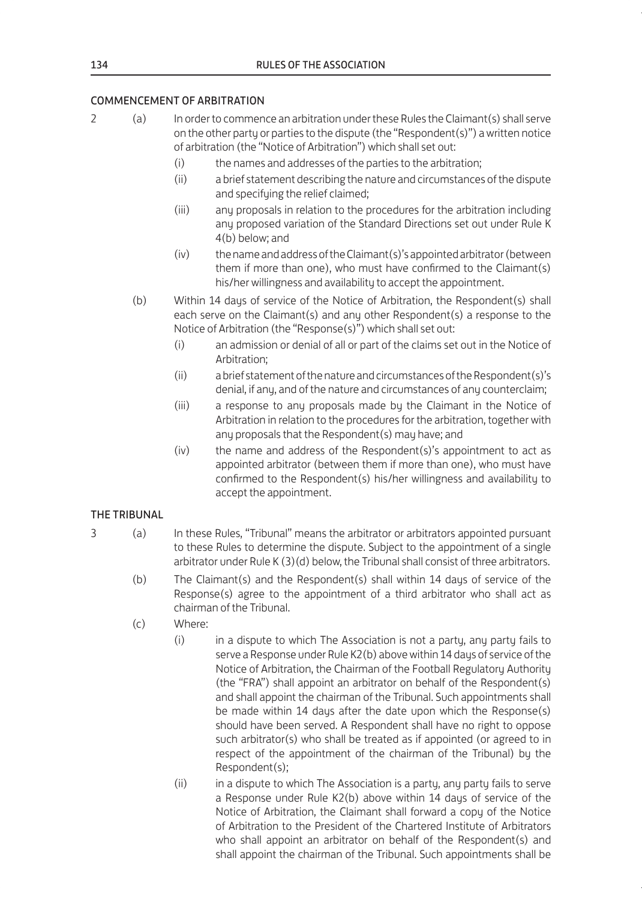## COMMENCEMENT OF ARBITRATION

- 2 (a) In order to commence an arbitration under these Rules the Claimant(s) shall serve on the other party or parties to the dispute (the "Respondent(s)") a written notice of arbitration (the "Notice of Arbitration") which shall set out:
	- (i) the names and addresses of the parties to the arbitration;
	- (ii) a brief statement describing the nature and circumstances of the dispute and specifuing the relief claimed:
	- (iii) any proposals in relation to the procedures for the arbitration including any proposed variation of the Standard Directions set out under Rule K 4(b) below; and
	- (iv) the name and address of the Claimant(s)'s appointed arbitrator (between them if more than one), who must have confirmed to the Claimant(s) his/her willingness and availability to accept the appointment.
	- (b) Within 14 days of service of the Notice of Arbitration, the Respondent(s) shall each serve on the Claimant(s) and any other Respondent(s) a response to the Notice of Arbitration (the "Response(s)") which shall set out:
		- (i) an admission or denial of all or part of the claims set out in the Notice of Arbitration;
		- (ii) a brief statement of the nature and circumstances of the Respondent(s)'s denial, if any, and of the nature and circumstances of any counterclaim;
		- (iii) a response to any proposals made by the Claimant in the Notice of Arbitration in relation to the procedures for the arbitration, together with any proposals that the Respondent(s) may have; and
		- $(iv)$  the name and address of the Respondent(s)'s appointment to act as appointed arbitrator (between them if more than one), who must have confirmed to the Respondent(s) his/her willingness and availability to accept the appointment.

## THE TRIBUNAL

- 3 (a) In these Rules, "Tribunal" means the arbitrator or arbitrators appointed pursuant to these Rules to determine the dispute. Subject to the appointment of a single arbitrator under Rule K (3)(d) below, the Tribunal shall consist of three arbitrators.
	- (b) The Claimant(s) and the Respondent(s) shall within 14 days of service of the Response(s) agree to the appointment of a third arbitrator who shall act as chairman of the Tribunal.
	- (c) Where:
		- (i) in a dispute to which The Association is not a party, any party fails to serve a Response under Rule K2(b) above within 14 days of service of the Notice of Arbitration, the Chairman of the Football Regulatory Authority (the "FRA") shall appoint an arbitrator on behalf of the Respondent(s) and shall appoint the chairman of the Tribunal. Such appointments shall be made within 14 days after the date upon which the Response(s) should have been served. A Respondent shall have no right to oppose such arbitrator(s) who shall be treated as if appointed (or agreed to in respect of the appointment of the chairman of the Tribunal) by the Respondent(s);
		- (ii) in a dispute to which The Association is a party, any party fails to serve a Response under Rule K2(b) above within 14 days of service of the Notice of Arbitration, the Claimant shall forward a copy of the Notice of Arbitration to the President of the Chartered Institute of Arbitrators who shall appoint an arbitrator on behalf of the Respondent(s) and shall appoint the chairman of the Tribunal. Such appointments shall be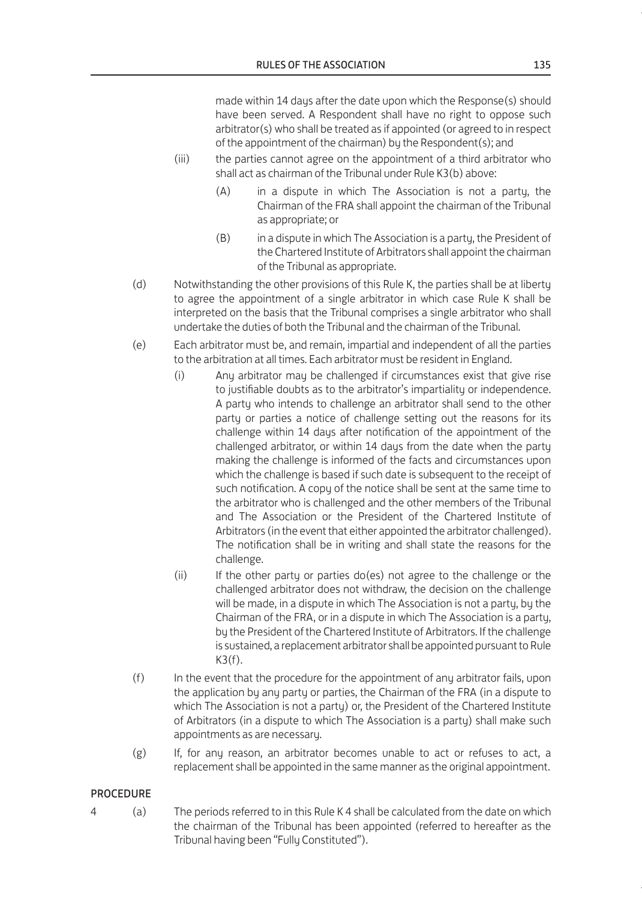made within 14 days after the date upon which the Response(s) should have been served. A Respondent shall have no right to oppose such arbitrator(s) who shall be treated as if appointed (or agreed to in respect of the appointment of the chairman) by the Respondent(s); and

- (iii) the parties cannot agree on the appointment of a third arbitrator who shall act as chairman of the Tribunal under Rule K3(b) above:
	- (A) in a dispute in which The Association is not a party, the Chairman of the FRA shall appoint the chairman of the Tribunal as appropriate; or
	- (B) in a dispute in which The Association is a party, the President of the Chartered Institute of Arbitrators shall appoint the chairman of the Tribunal as appropriate.
- (d) Notwithstanding the other provisions of this Rule K, the parties shall be at liberty to agree the appointment of a single arbitrator in which case Rule K shall be interpreted on the basis that the Tribunal comprises a single arbitrator who shall undertake the duties of both the Tribunal and the chairman of the Tribunal.
- (e) Each arbitrator must be, and remain, impartial and independent of all the parties to the arbitration at all times. Each arbitrator must be resident in England.
	- (i) Any arbitrator may be challenged if circumstances exist that give rise to justifiable doubts as to the arbitrator's impartiality or independence. A party who intends to challenge an arbitrator shall send to the other party or parties a notice of challenge setting out the reasons for its challenge within 14 days after notification of the appointment of the challenged arbitrator, or within 14 daus from the date when the partu making the challenge is informed of the facts and circumstances upon which the challenge is based if such date is subsequent to the receipt of such notification. A copy of the notice shall be sent at the same time to the arbitrator who is challenged and the other members of the Tribunal and The Association or the President of the Chartered Institute of Arbitrators (in the event that either appointed the arbitrator challenged). The notification shall be in writing and shall state the reasons for the challenge.
	- (ii) If the other party or parties do(es) not agree to the challenge or the challenged arbitrator does not withdraw, the decision on the challenge will be made, in a dispute in which The Association is not a party, by the Chairman of the FRA, or in a dispute in which The Association is a party, by the President of the Chartered Institute of Arbitrators. If the challenge is sustained, a replacement arbitrator shall be appointed pursuant to Rule  $K3(f)$ .
- (f) In the event that the procedure for the appointment of any arbitrator fails, upon the application by any party or parties, the Chairman of the FRA (in a dispute to which The Association is not a party) or, the President of the Chartered Institute of Arbitrators (in a dispute to which The Association is a party) shall make such appointments as are necessary.
- (g) If, for any reason, an arbitrator becomes unable to act or refuses to act, a replacement shall be appointed in the same manner as the original appointment.

### PROCEDURE

4 (a) The periods referred to in this Rule K 4 shall be calculated from the date on which the chairman of the Tribunal has been appointed (referred to hereafter as the Tribunal having been "Fully Constituted").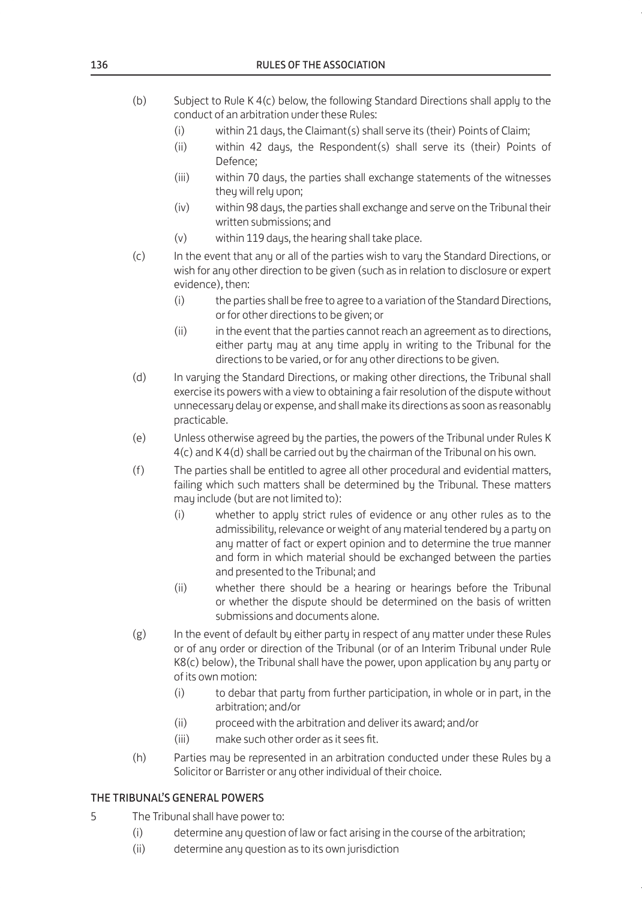- (b) Subject to Rule K 4(c) below, the following Standard Directions shall apply to the conduct of an arbitration under these Rules:
	- $(i)$  within 21 days, the Claimant(s) shall serve its (their) Points of Claim;
	- (ii) within 42 days, the Respondent(s) shall serve its (their) Points of Defence;
	- (iii) within 70 days, the parties shall exchange statements of the witnesses they will rely upon;
	- (iv) within 98 days, the parties shall exchange and serve on the Tribunal their written submissions; and
	- (v) within 119 days, the hearing shall take place.
- (c) In the event that any or all of the parties wish to vary the Standard Directions, or wish for any other direction to be given (such as in relation to disclosure or expert evidence), then:
	- (i) the parties shall be free to agree to a variation of the Standard Directions, or for other directions to be given; or
	- (ii) in the event that the parties cannot reach an agreement as to directions, either party may at any time apply in writing to the Tribunal for the directions to be varied, or for any other directions to be given.
- (d) In varying the Standard Directions, or making other directions, the Tribunal shall exercise its powers with a view to obtaining a fair resolution of the dispute without unnecessary delay or expense, and shall make its directions as soon as reasonably practicable.
- (e) Unless otherwise agreed by the parties, the powers of the Tribunal under Rules K 4(c) and K 4(d) shall be carried out by the chairman of the Tribunal on his own.
- (f) The parties shall be entitled to agree all other procedural and evidential matters, failing which such matters shall be determined by the Tribunal. These matters may include (but are not limited to):
	- (i) whether to apply strict rules of evidence or any other rules as to the admissibility, relevance or weight of any material tendered by a party on any matter of fact or expert opinion and to determine the true manner and form in which material should be exchanged between the parties and presented to the Tribunal; and
	- (ii) whether there should be a hearing or hearings before the Tribunal or whether the dispute should be determined on the basis of written submissions and documents alone.
- (g) In the event of default by either party in respect of any matter under these Rules or of any order or direction of the Tribunal (or of an Interim Tribunal under Rule K8(c) below), the Tribunal shall have the power, upon application by any party or of its own motion:
	- (i) to debar that party from further participation, in whole or in part, in the arbitration; and/or
	- (ii) proceed with the arbitration and deliver its award; and/or
	- (iii) make such other order as it sees fit.
- (h) Parties may be represented in an arbitration conducted under these Rules by a Solicitor or Barrister or any other individual of their choice.

# THE TRIBUNAL'S GENERAL POWERS

- 5 The Tribunal shall have power to:
	- (i) determine any question of law or fact arising in the course of the arbitration;
	- (ii) determine any question as to its own jurisdiction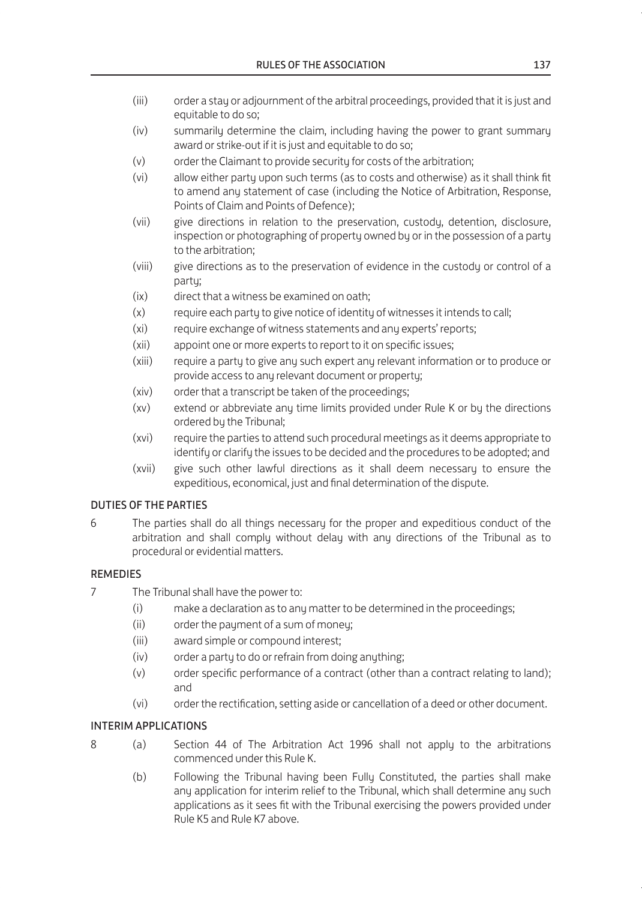- (iii) order a stay or adjournment of the arbitral proceedings, provided that it is just and equitable to do so;
- (iv) summarily determine the claim, including having the power to grant summary award or strike-out if it is just and equitable to do so;
- (v) order the Claimant to provide security for costs of the arbitration;
- (vi) allow either party upon such terms (as to costs and otherwise) as it shall think fit to amend any statement of case (including the Notice of Arbitration, Response, Points of Claim and Points of Defence);
- (vii) give directions in relation to the preservation, custody, detention, disclosure, inspection or photographing of property owned by or in the possession of a party to the arbitration;
- (viii) give directions as to the preservation of evidence in the custody or control of a party;
- (ix) direct that a witness be examined on oath;
- (x) require each party to give notice of identity of witnesses it intends to call;
- (xi) require exchange of witness statements and any experts' reports;
- $(xii)$  appoint one or more experts to report to it on specific issues:
- (xiii) require a party to give any such expert any relevant information or to produce or provide access to any relevant document or property;
- (xiv) order that a transcript be taken of the proceedings;
- (xv) extend or abbreviate any time limits provided under Rule K or by the directions ordered by the Tribunal;
- (xvi) require the parties to attend such procedural meetings as it deems appropriate to identify or clarify the issues to be decided and the procedures to be adopted; and
- (xvii) give such other lawful directions as it shall deem necessary to ensure the expeditious, economical, just and final determination of the dispute.

## DUTIES OF THE PARTIES

6 The parties shall do all things necessary for the proper and expeditious conduct of the arbitration and shall comply without delay with any directions of the Tribunal as to procedural or evidential matters.

## **REMEDIES**

- 7 The Tribunal shall have the power to:
	- (i) make a declaration as to any matter to be determined in the proceedings;
	- (ii) order the payment of a sum of money;
	- (iii) award simple or compound interest;
	- (iv) order a party to do or refrain from doing anything;
	- $(v)$  order specific performance of a contract (other than a contract relating to land); and
	- (vi) order the rectification, setting aside or cancellation of a deed or other document.

## INTERIM APPLICATIONS

- 8 (a) Section 44 of The Arbitration Act 1996 shall not apply to the arbitrations commenced under this Rule K.
	- (b) Following the Tribunal having been Fully Constituted, the parties shall make any application for interim relief to the Tribunal, which shall determine any such applications as it sees fit with the Tribunal exercising the powers provided under Rule K5 and Rule K7 above.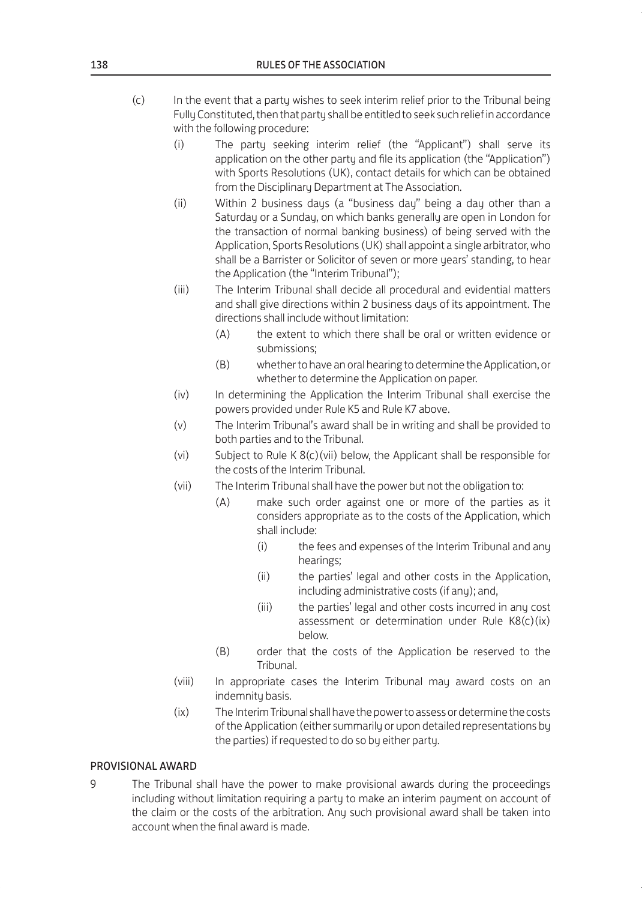- (c) In the event that a party wishes to seek interim relief prior to the Tribunal being Fully Constituted, then that party shall be entitled to seek such relief in accordance with the following procedure:
	- (i) The party seeking interim relief (the "Applicant") shall serve its application on the other party and file its application (the "Application") with Sports Resolutions (UK), contact details for which can be obtained from the Disciplinary Department at The Association.
	- (ii) Within 2 business days (a "business day" being a day other than a Saturday or a Sunday, on which banks generally are open in London for the transaction of normal banking business) of being served with the Application, Sports Resolutions (UK) shall appoint a single arbitrator, who shall be a Barrister or Solicitor of seven or more years' standing, to hear the Application (the "Interim Tribunal");
	- (iii) The Interim Tribunal shall decide all procedural and evidential matters and shall give directions within 2 business days of its appointment. The directions shall include without limitation:
		- (A) the extent to which there shall be oral or written evidence or submissions;
		- (B) whether to have an oral hearing to determine the Application, or whether to determine the Application on paper.
	- (iv) In determining the Application the Interim Tribunal shall exercise the powers provided under Rule K5 and Rule K7 above.
	- (v) The Interim Tribunal's award shall be in writing and shall be provided to both parties and to the Tribunal.
	- (vi) Subject to Rule K 8(c)(vii) below, the Applicant shall be responsible for the costs of the Interim Tribunal.
	- (vii) The Interim Tribunal shall have the power but not the obligation to:
		- (A) make such order against one or more of the parties as it considers appropriate as to the costs of the Application, which shall include:
			- (i) the fees and expenses of the Interim Tribunal and any hearings;
			- (ii) the parties' legal and other costs in the Application, including administrative costs (if any); and,
			- (iii) the parties' legal and other costs incurred in any cost assessment or determination under Rule K8(c)(ix) below.
		- (B) order that the costs of the Application be reserved to the Tribunal.
	- (viii) In appropriate cases the Interim Tribunal may award costs on an indemnitu basis.
	- (ix) The Interim Tribunal shall have the power to assess or determine the costs of the Application (either summarily or upon detailed representations by the parties) if requested to do so by either party.

### PROVISIONAL AWARD

9 The Tribunal shall have the power to make provisional awards during the proceedings including without limitation requiring a party to make an interim payment on account of the claim or the costs of the arbitration. Any such provisional award shall be taken into account when the final award is made.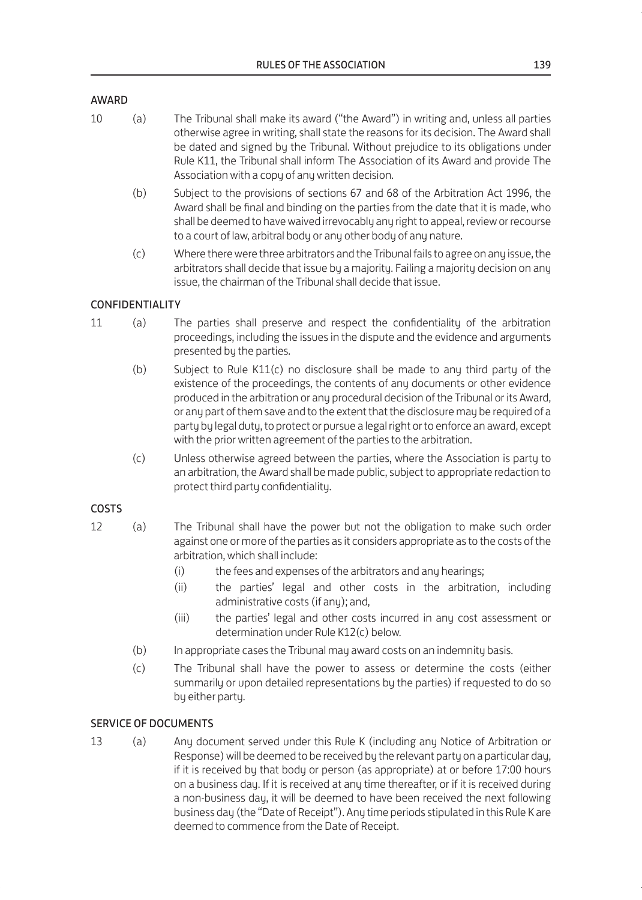## AWARD

- 10 (a) The Tribunal shall make its award ("the Award") in writing and, unless all parties otherwise agree in writing, shall state the reasons for its decision. The Award shall be dated and signed by the Tribunal. Without prejudice to its obligations under Rule K11, the Tribunal shall inform The Association of its Award and provide The Association with a copy of any written decision.
	- (b) Subject to the provisions of sections 67 and 68 of the Arbitration Act 1996, the Award shall be final and binding on the parties from the date that it is made, who shall be deemed to have waived irrevocably any right to appeal, review or recourse to a court of law, arbitral body or any other body of any nature.
	- (c) Where there were three arbitrators and the Tribunal fails to agree on any issue, the arbitrators shall decide that issue by a majority. Failing a majority decision on any issue, the chairman of the Tribunal shall decide that issue.

## CONFIDENTIALITY

- 11 (a) The parties shall preserve and respect the confidentiality of the arbitration proceedings, including the issues in the dispute and the evidence and arguments presented by the parties.
	- (b) Subject to Rule K11(c) no disclosure shall be made to any third party of the existence of the proceedings, the contents of any documents or other evidence produced in the arbitration or any procedural decision of the Tribunal or its Award, or any part of them save and to the extent that the disclosure may be required of a party by legal duty, to protect or pursue a legal right or to enforce an award, except with the prior written agreement of the parties to the arbitration.
	- (c) Unless otherwise agreed between the parties, where the Association is party to an arbitration, the Award shall be made public, subject to appropriate redaction to protect third party confidentiality.

## COSTS

- 12 (a) The Tribunal shall have the power but not the obligation to make such order against one or more of the parties as it considers appropriate as to the costs of the arbitration, which shall include:
	- (i) the fees and expenses of the arbitrators and any hearings;
	- (ii) the parties' legal and other costs in the arbitration, including administrative costs (if any); and,
	- (iii) the parties' legal and other costs incurred in any cost assessment or determination under Rule K12(c) below.
	- (b) In appropriate cases the Tribunal may award costs on an indemnity basis.
	- (c) The Tribunal shall have the power to assess or determine the costs (either summarily or upon detailed representations by the parties) if requested to do so by either party.

# SERVICE OF DOCUMENTS

13 (a) Any document served under this Rule K (including any Notice of Arbitration or Response) will be deemed to be received by the relevant party on a particular day, if it is received by that body or person (as appropriate) at or before 17:00 hours on a business day. If it is received at any time thereafter, or if it is received during a non-business day, it will be deemed to have been received the next following business day (the "Date of Receipt"). Any time periods stipulated in this Rule K are deemed to commence from the Date of Receipt.